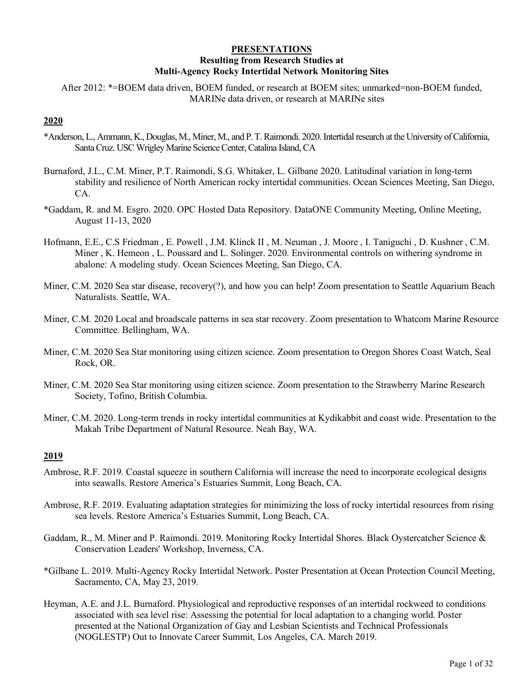# **PRESENTATIONS Resulting from Research Studies at Multi-Agency Rocky Intertidal Network Monitoring Sites**

After 2012: \*=BOEM data driven, BOEM funded, or research at BOEM sites; unmarked=non-BOEM funded, MARINe data driven, or research at MARINe sites

# **2020**

- \*Anderson, L., Ammann, K., Douglas, M., Miner, M., and P. T. Raimondi. 2020. Intertidal research at the University of California, Santa Cruz. USC Wrigley Marine Science Center, Catalina Island, CA
- Burnaford, J.L., C.M. Miner, P.T. Raimondi, S.G. Whitaker, L. Gilbane 2020. Latitudinal variation in long-term stability and resilience of North American rocky intertidal communities. Ocean Sciences Meeting, San Diego, CA.
- \*Gaddam, R. and M. Esgro. 2020. OPC Hosted Data Repository. DataONE Community Meeting, Online Meeting, August 11-13, 2020
- Hofmann, E.E., C.S Friedman , E. Powell , J.M. Klinck II , M. Neuman , J. Moore , I. Taniguchi , D. Kushner , C.M. Miner , K. Hemeon , L. Poussard and L. Solinger. 2020. Environmental controls on withering syndrome in abalone: A modeling study. Ocean Sciences Meeting, San Diego, CA.
- Miner, C.M. 2020 Sea star disease, recovery(?), and how you can help! Zoom presentation to Seattle Aquarium Beach Naturalists. Seattle, WA.
- Miner, C.M. 2020 Local and broadscale patterns in sea star recovery. Zoom presentation to Whatcom Marine Resource Committee. Bellingham, WA.
- Miner, C.M. 2020 Sea Star monitoring using citizen science. Zoom presentation to Oregon Shores Coast Watch, Seal Rock, OR.
- Miner, C.M. 2020 Sea Star monitoring using citizen science. Zoom presentation to the Strawberry Marine Research Society, Tofino, British Columbia.
- Miner, C.M. 2020. Long-term trends in rocky intertidal communities at Kydikabbit and coast wide. Presentation to the Makah Tribe Department of Natural Resource. Neah Bay, WA.

- Ambrose, R.F. 2019. Coastal squeeze in southern California will increase the need to incorporate ecological designs into seawalls. Restore America's Estuaries Summit, Long Beach, CA.
- Ambrose, R.F. 2019. Evaluating adaptation strategies for minimizing the loss of rocky intertidal resources from rising sea levels. Restore America's Estuaries Summit, Long Beach, CA.
- Gaddam, R., M. Miner and P. Raimondi. 2019. Monitoring Rocky Intertidal Shores. Black Oystercatcher Science & Conservation Leaders' Workshop, Inverness, CA.
- \*Gilbane L. 2019. Multi-Agency Rocky Intertidal Network. Poster Presentation at Ocean Protection Council Meeting, Sacramento, CA, May 23, 2019.
- Heyman, A.E. and J.L. Burnaford. Physiological and reproductive responses of an intertidal rockweed to conditions associated with sea level rise: Assessing the potential for local adaptation to a changing world. Poster presented at the National Organization of Gay and Lesbian Scientists and Technical Professionals (NOGLESTP) Out to Innovate Career Summit, Los Angeles, CA. March 2019.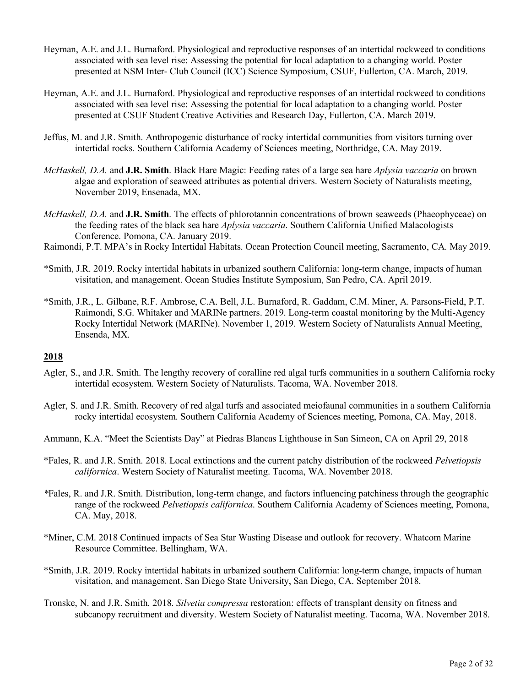- Heyman, A.E. and J.L. Burnaford. Physiological and reproductive responses of an intertidal rockweed to conditions associated with sea level rise: Assessing the potential for local adaptation to a changing world. Poster presented at NSM Inter- Club Council (ICC) Science Symposium, CSUF, Fullerton, CA. March, 2019.
- Heyman, A.E. and J.L. Burnaford. Physiological and reproductive responses of an intertidal rockweed to conditions associated with sea level rise: Assessing the potential for local adaptation to a changing world. Poster presented at CSUF Student Creative Activities and Research Day, Fullerton, CA. March 2019.
- Jeffus, M. and J.R. Smith. Anthropogenic disturbance of rocky intertidal communities from visitors turning over intertidal rocks. Southern California Academy of Sciences meeting, Northridge, CA. May 2019.
- *McHaskell, D.A.* and **J.R. Smith**. Black Hare Magic: Feeding rates of a large sea hare *Aplysia vaccaria* on brown algae and exploration of seaweed attributes as potential drivers. Western Society of Naturalists meeting, November 2019, Ensenada, MX.
- *McHaskell, D.A.* and **J.R. Smith**. The effects of phlorotannin concentrations of brown seaweeds (Phaeophyceae) on the feeding rates of the black sea hare *Aplysia vaccaria*. Southern California Unified Malacologists Conference. Pomona, CA. January 2019.
- Raimondi, P.T. MPA's in Rocky Intertidal Habitats. Ocean Protection Council meeting, Sacramento, CA. May 2019.
- \*Smith, J.R. 2019. Rocky intertidal habitats in urbanized southern California: long-term change, impacts of human visitation, and management. Ocean Studies Institute Symposium, San Pedro, CA. April 2019.
- \*Smith, J.R., L. Gilbane, R.F. Ambrose, C.A. Bell, J.L. Burnaford, R. Gaddam, C.M. Miner, A. Parsons-Field, P.T. Raimondi, S.G. Whitaker and MARINe partners. 2019. Long-term coastal monitoring by the Multi-Agency Rocky Intertidal Network (MARINe). November 1, 2019. Western Society of Naturalists Annual Meeting, Ensenda, MX.

- Agler, S., and J.R. Smith. The lengthy recovery of coralline red algal turfs communities in a southern California rocky intertidal ecosystem. Western Society of Naturalists. Tacoma, WA. November 2018.
- Agler, S. and J.R. Smith. Recovery of red algal turfs and associated meiofaunal communities in a southern California rocky intertidal ecosystem. Southern California Academy of Sciences meeting, Pomona, CA. May, 2018.
- Ammann, K.A. "Meet the Scientists Day" at Piedras Blancas Lighthouse in San Simeon, CA on April 29, 2018
- \*Fales, R. and J.R. Smith. 2018. Local extinctions and the current patchy distribution of the rockweed *Pelvetiopsis californica*. Western Society of Naturalist meeting. Tacoma, WA. November 2018.
- *\**Fales, R. and J.R. Smith. Distribution, long-term change, and factors influencing patchiness through the geographic range of the rockweed *Pelvetiopsis californica*. Southern California Academy of Sciences meeting, Pomona, CA. May, 2018.
- \*Miner, C.M. 2018 Continued impacts of Sea Star Wasting Disease and outlook for recovery. Whatcom Marine Resource Committee. Bellingham, WA.
- \*Smith, J.R. 2019. Rocky intertidal habitats in urbanized southern California: long-term change, impacts of human visitation, and management. San Diego State University, San Diego, CA. September 2018.
- Tronske, N. and J.R. Smith. 2018. *Silvetia compressa* restoration: effects of transplant density on fitness and subcanopy recruitment and diversity. Western Society of Naturalist meeting. Tacoma, WA. November 2018.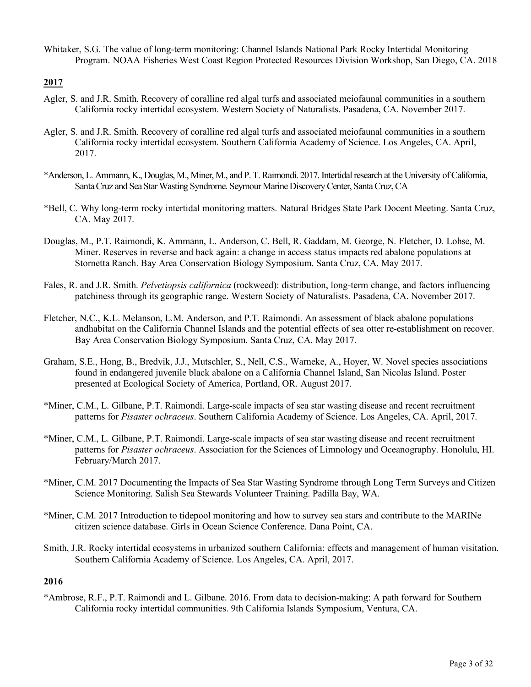Whitaker, S.G. The value of long-term monitoring: Channel Islands National Park Rocky Intertidal Monitoring Program. NOAA Fisheries West Coast Region Protected Resources Division Workshop, San Diego, CA. 2018

# **2017**

- Agler, S. and J.R. Smith. Recovery of coralline red algal turfs and associated meiofaunal communities in a southern California rocky intertidal ecosystem. Western Society of Naturalists. Pasadena, CA. November 2017.
- Agler, S. and J.R. Smith. Recovery of coralline red algal turfs and associated meiofaunal communities in a southern California rocky intertidal ecosystem. Southern California Academy of Science. Los Angeles, CA. April, 2017.
- \*Anderson, L. Ammann, K., Douglas, M., Miner, M., and P. T. Raimondi. 2017. Intertidal research at the University of California, Santa Cruz and Sea Star Wasting Syndrome. Seymour Marine Discovery Center, Santa Cruz, CA
- \*Bell, C. Why long-term rocky intertidal monitoring matters. Natural Bridges State Park Docent Meeting. Santa Cruz, CA. May 2017.
- Douglas, M., P.T. Raimondi, K. Ammann, L. Anderson, C. Bell, R. Gaddam, M. George, N. Fletcher, D. Lohse, M. Miner. Reserves in reverse and back again: a change in access status impacts red abalone populations at Stornetta Ranch. Bay Area Conservation Biology Symposium. Santa Cruz, CA. May 2017.
- Fales, R. and J.R. Smith. *Pelvetiopsis californica* (rockweed): distribution, long-term change, and factors influencing patchiness through its geographic range. Western Society of Naturalists. Pasadena, CA. November 2017.
- Fletcher, N.C., K.L. Melanson, L.M. Anderson, and P.T. Raimondi. An assessment of black abalone populations andhabitat on the California Channel Islands and the potential effects of sea otter re-establishment on recover. Bay Area Conservation Biology Symposium. Santa Cruz, CA. May 2017.
- Graham, S.E., Hong, B., Bredvik, J.J., Mutschler, S., Nell, C.S., Warneke, A., Hoyer, W. Novel species associations found in endangered juvenile black abalone on a California Channel Island, San Nicolas Island. Poster presented at Ecological Society of America, Portland, OR. August 2017.
- \*Miner, C.M., L. Gilbane, P.T. Raimondi. Large-scale impacts of sea star wasting disease and recent recruitment patterns for *Pisaster ochraceus*. Southern California Academy of Science. Los Angeles, CA. April, 2017.
- \*Miner, C.M., L. Gilbane, P.T. Raimondi. Large-scale impacts of sea star wasting disease and recent recruitment patterns for *Pisaster ochraceus*. Association for the Sciences of Limnology and Oceanography. Honolulu, HI. February/March 2017.
- \*Miner, C.M. 2017 Documenting the Impacts of Sea Star Wasting Syndrome through Long Term Surveys and Citizen Science Monitoring. Salish Sea Stewards Volunteer Training. Padilla Bay, WA.
- \*Miner, C.M. 2017 Introduction to tidepool monitoring and how to survey sea stars and contribute to the MARINe citizen science database. Girls in Ocean Science Conference. Dana Point, CA.
- Smith, J.R. Rocky intertidal ecosystems in urbanized southern California: effects and management of human visitation. Southern California Academy of Science. Los Angeles, CA. April, 2017.

# **2016**

\*Ambrose, R.F., P.T. Raimondi and L. Gilbane. 2016. From data to decision-making: A path forward for Southern California rocky intertidal communities. 9th California Islands Symposium, Ventura, CA.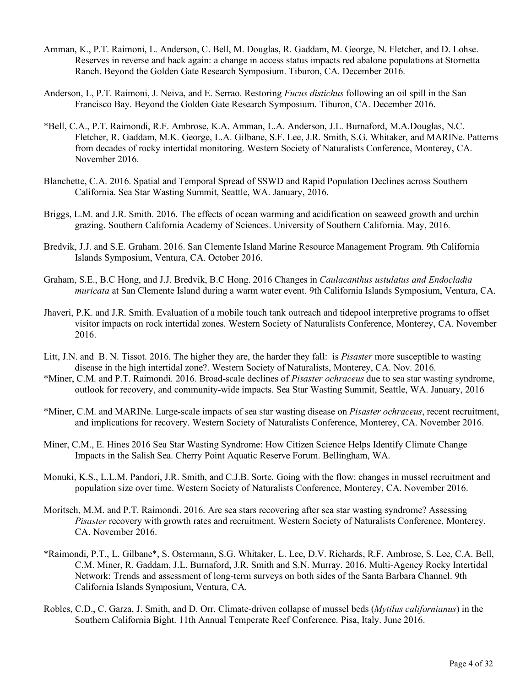- Amman, K., P.T. Raimoni, L. Anderson, C. Bell, M. Douglas, R. Gaddam, M. George, N. Fletcher, and D. Lohse. Reserves in reverse and back again: a change in access status impacts red abalone populations at Stornetta Ranch. Beyond the Golden Gate Research Symposium. Tiburon, CA. December 2016.
- Anderson, L, P.T. Raimoni, J. Neiva, and E. Serrao. Restoring *Fucus distichus* following an oil spill in the San Francisco Bay. Beyond the Golden Gate Research Symposium. Tiburon, CA. December 2016.
- \*Bell, C.A., P.T. Raimondi, R.F. Ambrose, K.A. Amman, L.A. Anderson, J.L. Burnaford, M.A.Douglas, N.C. Fletcher, R. Gaddam, M.K. George, L.A. Gilbane, S.F. Lee, J.R. Smith, S.G. Whitaker, and MARINe. Patterns from decades of rocky intertidal monitoring. Western Society of Naturalists Conference, Monterey, CA. November 2016.
- Blanchette, C.A. 2016. Spatial and Temporal Spread of SSWD and Rapid Population Declines across Southern California. Sea Star Wasting Summit, Seattle, WA. January, 2016.
- Briggs, L.M. and J.R. Smith. 2016. The effects of ocean warming and acidification on seaweed growth and urchin grazing. Southern California Academy of Sciences. University of Southern California. May, 2016.
- Bredvik, J.J. and S.E. Graham. 2016. San Clemente Island Marine Resource Management Program. 9th California Islands Symposium, Ventura, CA. October 2016.
- Graham, S.E., B.C Hong, and J.J. Bredvik, B.C Hong. 2016 Changes in *Caulacanthus ustulatus and Endocladia muricata* at San Clemente Island during a warm water event. 9th California Islands Symposium, Ventura, CA.
- Jhaveri, P.K. and J.R. Smith. Evaluation of a mobile touch tank outreach and tidepool interpretive programs to offset visitor impacts on rock intertidal zones. Western Society of Naturalists Conference, Monterey, CA. November 2016.
- Litt, J.N. and B. N. Tissot. 2016. The higher they are, the harder they fall: is *Pisaster* more susceptible to wasting disease in the high intertidal zone?. Western Society of Naturalists, Monterey, CA. Nov. 2016.
- \*Miner, C.M. and P.T. Raimondi. 2016. Broad-scale declines of *Pisaster ochraceus* due to sea star wasting syndrome, outlook for recovery, and community-wide impacts. Sea Star Wasting Summit, Seattle, WA. January, 2016
- \*Miner, C.M. and MARINe. Large-scale impacts of sea star wasting disease on *Pisaster ochraceus*, recent recruitment, and implications for recovery. Western Society of Naturalists Conference, Monterey, CA. November 2016.
- Miner, C.M., E. Hines 2016 Sea Star Wasting Syndrome: How Citizen Science Helps Identify Climate Change Impacts in the Salish Sea. Cherry Point Aquatic Reserve Forum. Bellingham, WA.
- Monuki, K.S., L.L.M. Pandori, J.R. Smith, and C.J.B. Sorte. Going with the flow: changes in mussel recruitment and population size over time. Western Society of Naturalists Conference, Monterey, CA. November 2016.
- Moritsch, M.M. and P.T. Raimondi. 2016. Are sea stars recovering after sea star wasting syndrome? Assessing *Pisaster* recovery with growth rates and recruitment. Western Society of Naturalists Conference, Monterey, CA. November 2016.
- \*Raimondi, P.T., L. Gilbane\*, S. Ostermann, S.G. Whitaker, L. Lee, D.V. Richards, R.F. Ambrose, S. Lee, C.A. Bell, C.M. Miner, R. Gaddam, J.L. Burnaford, J.R. Smith and S.N. Murray. 2016. Multi-Agency Rocky Intertidal Network: Trends and assessment of long-term surveys on both sides of the Santa Barbara Channel. 9th California Islands Symposium, Ventura, CA.
- Robles, C.D., C. Garza, J. Smith, and D. Orr. Climate-driven collapse of mussel beds (*Mytilus californianus*) in the Southern California Bight. 11th Annual Temperate Reef Conference. Pisa, Italy. June 2016.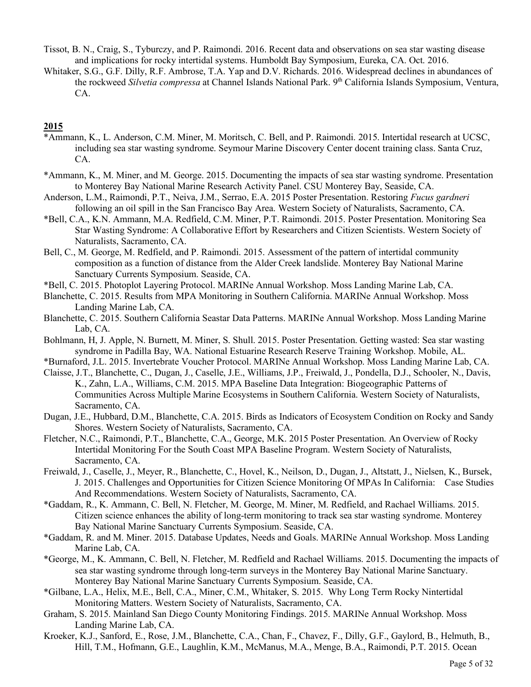- Tissot, B. N., Craig, S., Tyburczy, and P. Raimondi. 2016. Recent data and observations on sea star wasting disease and implications for rocky intertidal systems. Humboldt Bay Symposium, Eureka, CA. Oct. 2016.
- Whitaker, S.G., G.F. Dilly, R.F. Ambrose, T.A. Yap and D.V. Richards. 2016. Widespread declines in abundances of the rockweed *Silvetia compressa* at Channel Islands National Park. 9th California Islands Symposium, Ventura, CA.

- \*Ammann, K., L. Anderson, C.M. Miner, M. Moritsch, C. Bell, and P. Raimondi. 2015. Intertidal research at UCSC, including sea star wasting syndrome. Seymour Marine Discovery Center docent training class. Santa Cruz, CA.
- \*Ammann, K., M. Miner, and M. George. 2015. Documenting the impacts of sea star wasting syndrome. Presentation to Monterey Bay National Marine Research Activity Panel. CSU Monterey Bay, Seaside, CA.
- Anderson, L.M., Raimondi, P.T., Neiva, J.M., Serrao, E.A. 2015 Poster Presentation. Restoring *Fucus gardneri* following an oil spill in the San Francisco Bay Area. Western Society of Naturalists, Sacramento, CA.
- \*Bell, C.A., K.N. Ammann, M.A. Redfield, C.M. Miner, P.T. Raimondi. 2015. Poster Presentation. Monitoring Sea Star Wasting Syndrome: A Collaborative Effort by Researchers and Citizen Scientists. Western Society of Naturalists, Sacramento, CA.
- Bell, C., M. George, M. Redfield, and P. Raimondi. 2015. Assessment of the pattern of intertidal community composition as a function of distance from the Alder Creek landslide. Monterey Bay National Marine Sanctuary Currents Symposium. Seaside, CA.
- \*Bell, C. 2015. Photoplot Layering Protocol. MARINe Annual Workshop. Moss Landing Marine Lab, CA.
- Blanchette, C. 2015. Results from MPA Monitoring in Southern California. MARINe Annual Workshop. Moss Landing Marine Lab, CA.
- Blanchette, C. 2015. Southern California Seastar Data Patterns. MARINe Annual Workshop. Moss Landing Marine Lab, CA.
- Bohlmann, H, J. Apple, N. Burnett, M. Miner, S. Shull. 2015. Poster Presentation. Getting wasted: Sea star wasting syndrome in Padilla Bay, WA. National Estuarine Research Reserve Training Workshop. Mobile, AL.
- \*Burnaford, J.L. 2015. Invertebrate Voucher Protocol. MARINe Annual Workshop. Moss Landing Marine Lab, CA.
- Claisse, J.T., Blanchette, C., Dugan, J., Caselle, J.E., Williams, J.P., Freiwald, J., Pondella, D.J., Schooler, N., Davis, K., Zahn, L.A., Williams, C.M. 2015. MPA Baseline Data Integration: Biogeographic Patterns of Communities Across Multiple Marine Ecosystems in Southern California. Western Society of Naturalists, Sacramento, CA.
- Dugan, J.E., Hubbard, D.M., Blanchette, C.A. 2015. Birds as Indicators of Ecosystem Condition on Rocky and Sandy Shores. Western Society of Naturalists, Sacramento, CA.
- Fletcher, N.C., Raimondi, P.T., Blanchette, C.A., George, M.K. 2015 Poster Presentation. An Overview of Rocky Intertidal Monitoring For the South Coast MPA Baseline Program. Western Society of Naturalists, Sacramento, CA.
- Freiwald, J., Caselle, J., Meyer, R., Blanchette, C., Hovel, K., Neilson, D., Dugan, J., Altstatt, J., Nielsen, K., Bursek, J. 2015. Challenges and Opportunities for Citizen Science Monitoring Of MPAs In California: Case Studies And Recommendations. Western Society of Naturalists, Sacramento, CA.
- \*Gaddam, R., K. Ammann, C. Bell, N. Fletcher, M. George, M. Miner, M. Redfield, and Rachael Williams. 2015. Citizen science enhances the ability of long-term monitoring to track sea star wasting syndrome. Monterey Bay National Marine Sanctuary Currents Symposium. Seaside, CA.
- \*Gaddam, R. and M. Miner. 2015. Database Updates, Needs and Goals. MARINe Annual Workshop. Moss Landing Marine Lab, CA.
- \*George, M., K. Ammann, C. Bell, N. Fletcher, M. Redfield and Rachael Williams. 2015. Documenting the impacts of sea star wasting syndrome through long-term surveys in the Monterey Bay National Marine Sanctuary. Monterey Bay National Marine Sanctuary Currents Symposium. Seaside, CA.
- \*Gilbane, L.A., Helix, M.E., Bell, C.A., Miner, C.M., Whitaker, S. 2015. Why Long Term Rocky Nintertidal Monitoring Matters. Western Society of Naturalists, Sacramento, CA.
- Graham, S. 2015. Mainland San Diego County Monitoring Findings. 2015. MARINe Annual Workshop. Moss Landing Marine Lab, CA.
- Kroeker, K.J., Sanford, E., Rose, J.M., Blanchette, C.A., Chan, F., Chavez, F., Dilly, G.F., Gaylord, B., Helmuth, B., Hill, T.M., Hofmann, G.E., Laughlin, K.M., McManus, M.A., Menge, B.A., Raimondi, P.T. 2015. Ocean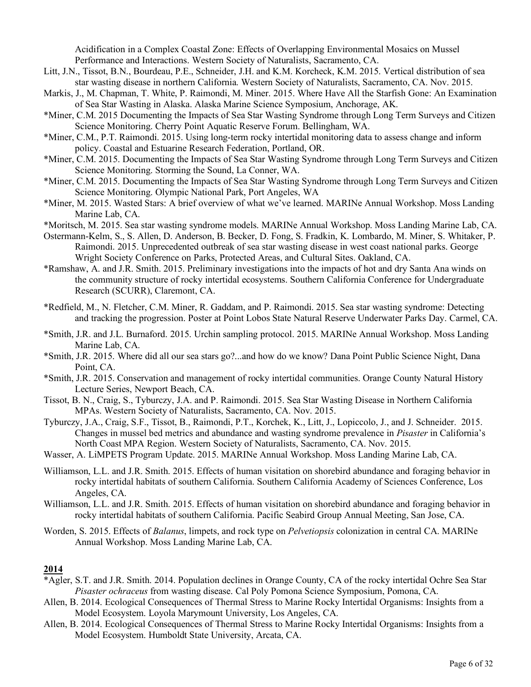Acidification in a Complex Coastal Zone: Effects of Overlapping Environmental Mosaics on Mussel Performance and Interactions. Western Society of Naturalists, Sacramento, CA.

- Litt, J.N., Tissot, B.N., Bourdeau, P.E., Schneider, J.H. and K.M. Korcheck, K.M. 2015. Vertical distribution of sea star wasting disease in northern California. Western Society of Naturalists, Sacramento, CA. Nov. 2015.
- Markis, J., M. Chapman, T. White, P. Raimondi, M. Miner. 2015. Where Have All the Starfish Gone: An Examination of Sea Star Wasting in Alaska. Alaska Marine Science Symposium, Anchorage, AK.
- \*Miner, C.M. 2015 Documenting the Impacts of Sea Star Wasting Syndrome through Long Term Surveys and Citizen Science Monitoring. Cherry Point Aquatic Reserve Forum. Bellingham, WA.
- \*Miner, C.M., P.T. Raimondi. 2015. Using long-term rocky intertidal monitoring data to assess change and inform policy. Coastal and Estuarine Research Federation, Portland, OR.
- \*Miner, C.M. 2015. Documenting the Impacts of Sea Star Wasting Syndrome through Long Term Surveys and Citizen Science Monitoring. Storming the Sound, La Conner, WA.
- \*Miner, C.M. 2015. Documenting the Impacts of Sea Star Wasting Syndrome through Long Term Surveys and Citizen Science Monitoring. Olympic National Park, Port Angeles, WA
- \*Miner, M. 2015. Wasted Stars: A brief overview of what we've learned. MARINe Annual Workshop. Moss Landing Marine Lab, CA.
- \*Moritsch, M. 2015. Sea star wasting syndrome models. MARINe Annual Workshop. Moss Landing Marine Lab, CA.
- Ostermann-Kelm, S., S. Allen, D. Anderson, B. Becker, D. Fong, S. Fradkin, K. Lombardo, M. Miner, S. Whitaker, P. Raimondi. 2015. Unprecedented outbreak of sea star wasting disease in west coast national parks. George Wright Society Conference on Parks, Protected Areas, and Cultural Sites. Oakland, CA.
- \*Ramshaw, A. and J.R. Smith. 2015. Preliminary investigations into the impacts of hot and dry Santa Ana winds on the community structure of rocky intertidal ecosystems. Southern California Conference for Undergraduate Research (SCURR), Claremont, CA.
- \*Redfield, M., N. Fletcher, C.M. Miner, R. Gaddam, and P. Raimondi. 2015. Sea star wasting syndrome: Detecting and tracking the progression. Poster at Point Lobos State Natural Reserve Underwater Parks Day. Carmel, CA.
- \*Smith, J.R. and J.L. Burnaford. 2015. Urchin sampling protocol. 2015. MARINe Annual Workshop. Moss Landing Marine Lab, CA.
- \*Smith, J.R. 2015. Where did all our sea stars go?...and how do we know? Dana Point Public Science Night, Dana Point, CA.
- \*Smith, J.R. 2015. Conservation and management of rocky intertidal communities. Orange County Natural History Lecture Series, Newport Beach, CA.
- Tissot, B. N., Craig, S., Tyburczy, J.A. and P. Raimondi. 2015. Sea Star Wasting Disease in Northern California MPAs. Western Society of Naturalists, Sacramento, CA. Nov. 2015.
- Tyburczy, J.A., Craig, S.F., Tissot, B., Raimondi, P.T., Korchek, K., Litt, J., Lopiccolo, J., and J. Schneider. 2015. Changes in mussel bed metrics and abundance and wasting syndrome prevalence in *Pisaster* in California's North Coast MPA Region. Western Society of Naturalists, Sacramento, CA. Nov. 2015.
- Wasser, A. LiMPETS Program Update. 2015. MARINe Annual Workshop. Moss Landing Marine Lab, CA.
- Williamson, L.L. and J.R. Smith. 2015. Effects of human visitation on shorebird abundance and foraging behavior in rocky intertidal habitats of southern California. Southern California Academy of Sciences Conference, Los Angeles, CA.
- Williamson, L.L. and J.R. Smith. 2015. Effects of human visitation on shorebird abundance and foraging behavior in rocky intertidal habitats of southern California. Pacific Seabird Group Annual Meeting, San Jose, CA.
- Worden, S. 2015. Effects of *Balanus*, limpets, and rock type on *Pelvetiopsis* colonization in central CA. MARINe Annual Workshop. Moss Landing Marine Lab, CA.

- \*Agler, S.T. and J.R. Smith. 2014. Population declines in Orange County, CA of the rocky intertidal Ochre Sea Star *Pisaster ochraceus* from wasting disease. Cal Poly Pomona Science Symposium, Pomona, CA.
- Allen, B. 2014. Ecological Consequences of Thermal Stress to Marine Rocky Intertidal Organisms: Insights from a Model Ecosystem. Loyola Marymount University, Los Angeles, CA.
- Allen, B. 2014. Ecological Consequences of Thermal Stress to Marine Rocky Intertidal Organisms: Insights from a Model Ecosystem. Humboldt State University, Arcata, CA.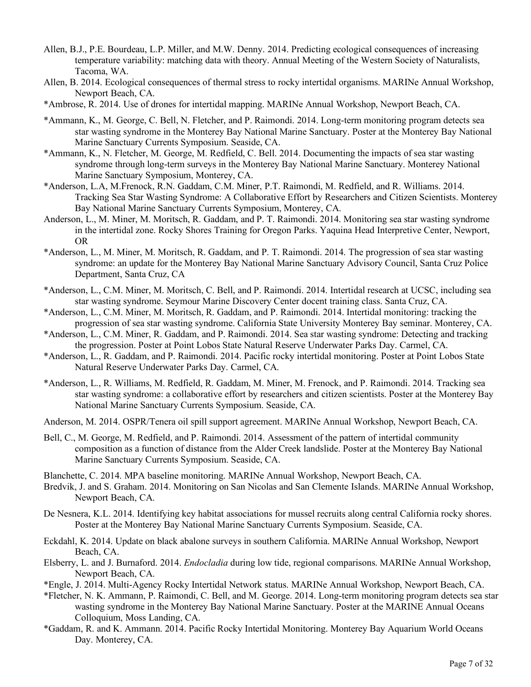- Allen, B.J., P.E. Bourdeau, L.P. Miller, and M.W. Denny. 2014. Predicting ecological consequences of increasing temperature variability: matching data with theory. Annual Meeting of the Western Society of Naturalists, Tacoma, WA.
- Allen, B. 2014. Ecological consequences of thermal stress to rocky intertidal organisms. MARINe Annual Workshop, Newport Beach, CA.
- \*Ambrose, R. 2014. Use of drones for intertidal mapping. MARINe Annual Workshop, Newport Beach, CA.
- \*Ammann, K., M. George, C. Bell, N. Fletcher, and P. Raimondi. 2014. Long-term monitoring program detects sea star wasting syndrome in the Monterey Bay National Marine Sanctuary. Poster at the Monterey Bay National Marine Sanctuary Currents Symposium. Seaside, CA.
- \*Ammann, K., N. Fletcher, M. George, M. Redfield, C. Bell. 2014. Documenting the impacts of sea star wasting syndrome through long-term surveys in the Monterey Bay National Marine Sanctuary. Monterey National Marine Sanctuary Symposium, Monterey, CA.
- \*Anderson, L.A, M.Frenock, R.N. Gaddam, C.M. Miner, P.T. Raimondi, M. Redfield, and R. Williams. 2014. Tracking Sea Star Wasting Syndrome: A Collaborative Effort by Researchers and Citizen Scientists. Monterey Bay National Marine Sanctuary Currents Symposium, Monterey, CA.
- Anderson, L., M. Miner, M. Moritsch, R. Gaddam, and P. T. Raimondi. 2014. Monitoring sea star wasting syndrome in the intertidal zone. Rocky Shores Training for Oregon Parks. Yaquina Head Interpretive Center, Newport, OR
- \*Anderson, L., M. Miner, M. Moritsch, R. Gaddam, and P. T. Raimondi. 2014. The progression of sea star wasting syndrome: an update for the Monterey Bay National Marine Sanctuary Advisory Council, Santa Cruz Police Department, Santa Cruz, CA
- \*Anderson, L., C.M. Miner, M. Moritsch, C. Bell, and P. Raimondi. 2014. Intertidal research at UCSC, including sea star wasting syndrome. Seymour Marine Discovery Center docent training class. Santa Cruz, CA.
- \*Anderson, L., C.M. Miner, M. Moritsch, R. Gaddam, and P. Raimondi. 2014. Intertidal monitoring: tracking the progression of sea star wasting syndrome. California State University Monterey Bay seminar. Monterey, CA.
- \*Anderson, L., C.M. Miner, R. Gaddam, and P. Raimondi. 2014. Sea star wasting syndrome: Detecting and tracking the progression. Poster at Point Lobos State Natural Reserve Underwater Parks Day. Carmel, CA.
- \*Anderson, L., R. Gaddam, and P. Raimondi. 2014. Pacific rocky intertidal monitoring. Poster at Point Lobos State Natural Reserve Underwater Parks Day. Carmel, CA.
- \*Anderson, L., R. Williams, M. Redfield, R. Gaddam, M. Miner, M. Frenock, and P. Raimondi. 2014. Tracking sea star wasting syndrome: a collaborative effort by researchers and citizen scientists. Poster at the Monterey Bay National Marine Sanctuary Currents Symposium. Seaside, CA.
- Anderson, M. 2014. OSPR/Tenera oil spill support agreement. MARINe Annual Workshop, Newport Beach, CA.
- Bell, C., M. George, M. Redfield, and P. Raimondi. 2014. Assessment of the pattern of intertidal community composition as a function of distance from the Alder Creek landslide. Poster at the Monterey Bay National Marine Sanctuary Currents Symposium. Seaside, CA.
- Blanchette, C. 2014. MPA baseline monitoring. MARINe Annual Workshop, Newport Beach, CA.
- Bredvik, J. and S. Graham. 2014. Monitoring on San Nicolas and San Clemente Islands. MARINe Annual Workshop, Newport Beach, CA.
- De Nesnera, K.L. 2014. Identifying key habitat associations for mussel recruits along central California rocky shores. Poster at the Monterey Bay National Marine Sanctuary Currents Symposium. Seaside, CA.
- Eckdahl, K. 2014. Update on black abalone surveys in southern California. MARINe Annual Workshop, Newport Beach, CA.
- Elsberry, L. and J. Burnaford. 2014. *Endocladia* during low tide, regional comparisons. MARINe Annual Workshop, Newport Beach, CA.
- \*Engle, J. 2014. Multi-Agency Rocky Intertidal Network status. MARINe Annual Workshop, Newport Beach, CA.
- \*Fletcher, N. K. Ammann, P. Raimondi, C. Bell, and M. George. 2014. Long-term monitoring program detects sea star wasting syndrome in the Monterey Bay National Marine Sanctuary. Poster at the MARINE Annual Oceans Colloquium, Moss Landing, CA.
- \*Gaddam, R. and K. Ammann. 2014. Pacific Rocky Intertidal Monitoring. Monterey Bay Aquarium World Oceans Day. Monterey, CA.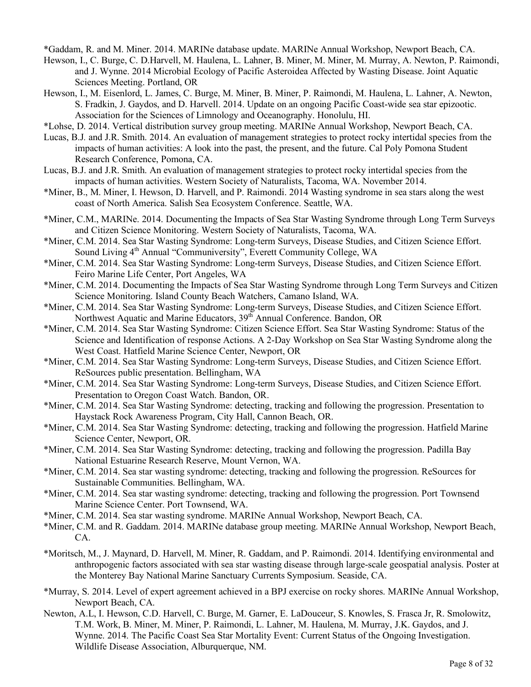\*Gaddam, R. and M. Miner. 2014. MARINe database update. MARINe Annual Workshop, Newport Beach, CA.

- Hewson, I., C. Burge, C. D.Harvell, M. Haulena, L. Lahner, B. Miner, M. Miner, M. Murray, A. Newton, P. Raimondi, and J. Wynne. 2014 Microbial Ecology of Pacific Asteroidea Affected by Wasting Disease. Joint Aquatic Sciences Meeting. Portland, OR
- Hewson, I., M. Eisenlord, L. James, C. Burge, M. Miner, B. Miner, P. Raimondi, M. Haulena, L. Lahner, A. Newton, S. Fradkin, J. Gaydos, and D. Harvell. 2014. Update on an ongoing Pacific Coast-wide sea star epizootic. Association for the Sciences of Limnology and Oceanography. Honolulu, HI.
- \*Lohse, D. 2014. Vertical distribution survey group meeting. MARINe Annual Workshop, Newport Beach, CA.
- Lucas, B.J*.* and J.R. Smith. 2014. An evaluation of management strategies to protect rocky intertidal species from the impacts of human activities: A look into the past, the present, and the future. Cal Poly Pomona Student Research Conference, Pomona, CA.
- Lucas, B.J. and J.R. Smith. An evaluation of management strategies to protect rocky intertidal species from the impacts of human activities. Western Society of Naturalists, Tacoma, WA. November 2014.
- \*Miner, B., M. Miner, I. Hewson, D. Harvell, and P. Raimondi. 2014 Wasting syndrome in sea stars along the west coast of North America. Salish Sea Ecosystem Conference. Seattle, WA.
- \*Miner, C.M., MARINe. 2014. Documenting the Impacts of Sea Star Wasting Syndrome through Long Term Surveys and Citizen Science Monitoring. Western Society of Naturalists, Tacoma, WA.
- \*Miner, C.M. 2014. Sea Star Wasting Syndrome: Long-term Surveys, Disease Studies, and Citizen Science Effort. Sound Living 4<sup>th</sup> Annual "Communiversity", Everett Community College, WA
- \*Miner, C.M. 2014. Sea Star Wasting Syndrome: Long-term Surveys, Disease Studies, and Citizen Science Effort. Feiro Marine Life Center, Port Angeles, WA
- \*Miner, C.M. 2014. Documenting the Impacts of Sea Star Wasting Syndrome through Long Term Surveys and Citizen Science Monitoring. Island County Beach Watchers, Camano Island, WA.
- \*Miner, C.M. 2014. Sea Star Wasting Syndrome: Long-term Surveys, Disease Studies, and Citizen Science Effort. Northwest Aquatic and Marine Educators, 39<sup>th</sup> Annual Conference. Bandon, OR
- \*Miner, C.M. 2014. Sea Star Wasting Syndrome: Citizen Science Effort. Sea Star Wasting Syndrome: Status of the Science and Identification of response Actions. A 2-Day Workshop on Sea Star Wasting Syndrome along the West Coast. Hatfield Marine Science Center, Newport, OR
- \*Miner, C.M. 2014. Sea Star Wasting Syndrome: Long-term Surveys, Disease Studies, and Citizen Science Effort. ReSources public presentation. Bellingham, WA
- \*Miner, C.M. 2014. Sea Star Wasting Syndrome: Long-term Surveys, Disease Studies, and Citizen Science Effort. Presentation to Oregon Coast Watch. Bandon, OR.
- \*Miner, C.M. 2014. Sea Star Wasting Syndrome: detecting, tracking and following the progression. Presentation to Haystack Rock Awareness Program, City Hall, Cannon Beach, OR.
- \*Miner, C.M. 2014. Sea Star Wasting Syndrome: detecting, tracking and following the progression. Hatfield Marine Science Center, Newport, OR.
- \*Miner, C.M. 2014. Sea Star Wasting Syndrome: detecting, tracking and following the progression. Padilla Bay National Estuarine Research Reserve, Mount Vernon, WA.
- \*Miner, C.M. 2014. Sea star wasting syndrome: detecting, tracking and following the progression. ReSources for Sustainable Communities. Bellingham, WA.
- \*Miner, C.M. 2014. Sea star wasting syndrome: detecting, tracking and following the progression. Port Townsend Marine Science Center. Port Townsend, WA.
- \*Miner, C.M. 2014. Sea star wasting syndrome. MARINe Annual Workshop, Newport Beach, CA.
- \*Miner, C.M. and R. Gaddam. 2014. MARINe database group meeting. MARINe Annual Workshop, Newport Beach, CA.
- \*Moritsch, M., J. Maynard, D. Harvell, M. Miner, R. Gaddam, and P. Raimondi. 2014. Identifying environmental and anthropogenic factors associated with sea star wasting disease through large-scale geospatial analysis. Poster at the Monterey Bay National Marine Sanctuary Currents Symposium. Seaside, CA.
- \*Murray, S. 2014. Level of expert agreement achieved in a BPJ exercise on rocky shores. MARINe Annual Workshop, Newport Beach, CA.
- Newton, A.L, I. Hewson, C.D. Harvell, C. Burge, M. Garner, E. LaDouceur, S. Knowles, S. Frasca Jr, R. Smolowitz, T.M. Work, B. Miner, M. Miner, P. Raimondi, L. Lahner, M. Haulena, M. Murray, J.K. Gaydos, and J. Wynne. 2014. The Pacific Coast Sea Star Mortality Event: Current Status of the Ongoing Investigation. Wildlife Disease Association, Alburquerque, NM.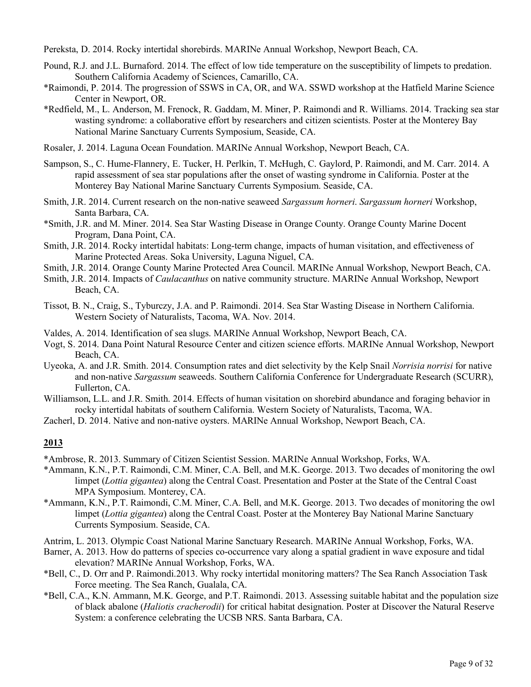Pereksta, D. 2014. Rocky intertidal shorebirds. MARINe Annual Workshop, Newport Beach, CA.

- Pound, R.J. and J.L. Burnaford. 2014. The effect of low tide temperature on the susceptibility of limpets to predation. Southern California Academy of Sciences, Camarillo, CA.
- \*Raimondi, P. 2014. The progression of SSWS in CA, OR, and WA. SSWD workshop at the Hatfield Marine Science Center in Newport, OR.
- \*Redfield, M., L. Anderson, M. Frenock, R. Gaddam, M. Miner, P. Raimondi and R. Williams. 2014. Tracking sea star wasting syndrome: a collaborative effort by researchers and citizen scientists. Poster at the Monterey Bay National Marine Sanctuary Currents Symposium, Seaside, CA.
- Rosaler, J. 2014. Laguna Ocean Foundation. MARINe Annual Workshop, Newport Beach, CA.
- Sampson, S., C. Hume-Flannery, E. Tucker, H. Perlkin, T. McHugh, C. Gaylord, P. Raimondi, and M. Carr. 2014. A rapid assessment of sea star populations after the onset of wasting syndrome in California. Poster at the Monterey Bay National Marine Sanctuary Currents Symposium. Seaside, CA.
- Smith, J.R. 2014. Current research on the non-native seaweed *Sargassum horneri*. *Sargassum horneri* Workshop, Santa Barbara, CA.
- \*Smith, J.R. and M. Miner. 2014. Sea Star Wasting Disease in Orange County. Orange County Marine Docent Program, Dana Point, CA.
- Smith, J.R. 2014. Rocky intertidal habitats: Long-term change, impacts of human visitation, and effectiveness of Marine Protected Areas. Soka University, Laguna Niguel, CA.
- Smith, J.R. 2014. Orange County Marine Protected Area Council. MARINe Annual Workshop, Newport Beach, CA.
- Smith, J.R. 2014. Impacts of *Caulacanthus* on native community structure. MARINe Annual Workshop, Newport Beach, CA.
- Tissot, B. N., Craig, S., Tyburczy, J.A. and P. Raimondi. 2014. Sea Star Wasting Disease in Northern California. Western Society of Naturalists, Tacoma, WA. Nov. 2014.
- Valdes, A. 2014. Identification of sea slugs. MARINe Annual Workshop, Newport Beach, CA.
- Vogt, S. 2014. Dana Point Natural Resource Center and citizen science efforts. MARINe Annual Workshop, Newport Beach, CA.
- Uyeoka, A. and J.R. Smith. 2014. Consumption rates and diet selectivity by the Kelp Snail *Norrisia norrisi* for native and non-native *Sargassum* seaweeds. Southern California Conference for Undergraduate Research (SCURR), Fullerton, CA.
- Williamson, L.L. and J.R. Smith. 2014. Effects of human visitation on shorebird abundance and foraging behavior in rocky intertidal habitats of southern California. Western Society of Naturalists, Tacoma, WA.
- Zacherl, D. 2014. Native and non-native oysters. MARINe Annual Workshop, Newport Beach, CA.

- \*Ambrose, R. 2013. Summary of Citizen Scientist Session. MARINe Annual Workshop, Forks, WA.
- \*Ammann, K.N., P.T. Raimondi, C.M. Miner, C.A. Bell, and M.K. George. 2013. Two decades of monitoring the owl limpet (*Lottia gigantea*) along the Central Coast. Presentation and Poster at the State of the Central Coast MPA Symposium. Monterey, CA.
- \*Ammann, K.N., P.T. Raimondi, C.M. Miner, C.A. Bell, and M.K. George. 2013. Two decades of monitoring the owl limpet (*Lottia gigantea*) along the Central Coast. Poster at the Monterey Bay National Marine Sanctuary Currents Symposium. Seaside, CA.
- Antrim, L. 2013. Olympic Coast National Marine Sanctuary Research. MARINe Annual Workshop, Forks, WA.
- Barner, A. 2013. How do patterns of species co-occurrence vary along a spatial gradient in wave exposure and tidal elevation? MARINe Annual Workshop, Forks, WA.
- \*Bell, C., D. Orr and P. Raimondi.2013. Why rocky intertidal monitoring matters? The Sea Ranch Association Task Force meeting. The Sea Ranch, Gualala, CA.
- \*Bell, C.A., K.N. Ammann, M.K. George, and P.T. Raimondi. 2013. Assessing suitable habitat and the population size of black abalone (*Haliotis cracherodii*) for critical habitat designation. Poster at Discover the Natural Reserve System: a conference celebrating the UCSB NRS. Santa Barbara, CA.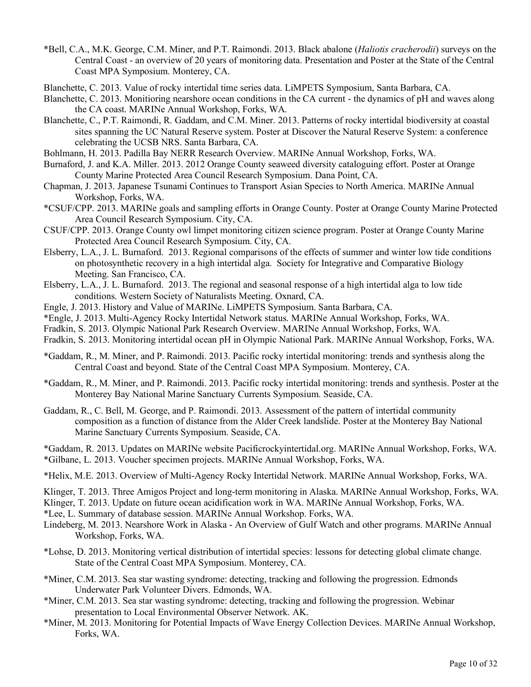- \*Bell, C.A., M.K. George, C.M. Miner, and P.T. Raimondi. 2013. Black abalone (*Haliotis cracherodii*) surveys on the Central Coast - an overview of 20 years of monitoring data. Presentation and Poster at the State of the Central Coast MPA Symposium. Monterey, CA.
- Blanchette, C. 2013. Value of rocky intertidal time series data. LiMPETS Symposium, Santa Barbara, CA.
- Blanchette, C. 2013. Monitioring nearshore ocean conditions in the CA current the dynamics of pH and waves along the CA coast. MARINe Annual Workshop, Forks, WA.
- Blanchette, C., P.T. Raimondi, R. Gaddam, and C.M. Miner. 2013. Patterns of rocky intertidal biodiversity at coastal sites spanning the UC Natural Reserve system. Poster at Discover the Natural Reserve System: a conference celebrating the UCSB NRS. Santa Barbara, CA.
- Bohlmann, H. 2013. Padilla Bay NERR Research Overview. MARINe Annual Workshop, Forks, WA.
- Burnaford, J. and K.A. Miller. 2013. 2012 Orange County seaweed diversity cataloguing effort. Poster at Orange County Marine Protected Area Council Research Symposium. Dana Point, CA.
- Chapman, J. 2013. Japanese Tsunami Continues to Transport Asian Species to North America. MARINe Annual Workshop, Forks, WA.
- \*CSUF/CPP. 2013. MARINe goals and sampling efforts in Orange County. Poster at Orange County Marine Protected Area Council Research Symposium. City, CA.
- CSUF/CPP. 2013. Orange County owl limpet monitoring citizen science program. Poster at Orange County Marine Protected Area Council Research Symposium. City, CA.
- Elsberry, L.A., J. L. Burnaford. 2013. Regional comparisons of the effects of summer and winter low tide conditions on photosynthetic recovery in a high intertidal alga. Society for Integrative and Comparative Biology Meeting. San Francisco, CA.
- Elsberry, L.A., J. L. Burnaford. 2013. The regional and seasonal response of a high intertidal alga to low tide conditions. Western Society of Naturalists Meeting. Oxnard, CA.
- Engle, J. 2013. History and Value of MARINe. LiMPETS Symposium. Santa Barbara, CA.
- \*Engle, J. 2013. Multi-Agency Rocky Intertidal Network status. MARINe Annual Workshop, Forks, WA.
- Fradkin, S. 2013. Olympic National Park Research Overview. MARINe Annual Workshop, Forks, WA.
- Fradkin, S. 2013. Monitoring intertidal ocean pH in Olympic National Park. MARINe Annual Workshop, Forks, WA.
- \*Gaddam, R., M. Miner, and P. Raimondi. 2013. Pacific rocky intertidal monitoring: trends and synthesis along the Central Coast and beyond. State of the Central Coast MPA Symposium. Monterey, CA.
- \*Gaddam, R., M. Miner, and P. Raimondi. 2013. Pacific rocky intertidal monitoring: trends and synthesis. Poster at the Monterey Bay National Marine Sanctuary Currents Symposium. Seaside, CA.
- Gaddam, R., C. Bell, M. George, and P. Raimondi. 2013. Assessment of the pattern of intertidal community composition as a function of distance from the Alder Creek landslide. Poster at the Monterey Bay National Marine Sanctuary Currents Symposium. Seaside, CA.

\*Gaddam, R. 2013. Updates on MARINe website Pacificrockyintertidal.org. MARINe Annual Workshop, Forks, WA. \*Gilbane, L. 2013. Voucher specimen projects. MARINe Annual Workshop, Forks, WA.

- \*Helix, M.E. 2013. Overview of Multi-Agency Rocky Intertidal Network. MARINe Annual Workshop, Forks, WA.
- Klinger, T. 2013. Three Amigos Project and long-term monitoring in Alaska. MARINe Annual Workshop, Forks, WA.
- Klinger, T. 2013. Update on future ocean acidification work in WA. MARINe Annual Workshop, Forks, WA.
- \*Lee, L. Summary of database session. MARINe Annual Workshop. Forks, WA.
- Lindeberg, M. 2013. Nearshore Work in Alaska An Overview of Gulf Watch and other programs. MARINe Annual Workshop, Forks, WA.
- \*Lohse, D. 2013. Monitoring vertical distribution of intertidal species: lessons for detecting global climate change. State of the Central Coast MPA Symposium. Monterey, CA.
- \*Miner, C.M. 2013. Sea star wasting syndrome: detecting, tracking and following the progression. Edmonds Underwater Park Volunteer Divers. Edmonds, WA.
- \*Miner, C.M. 2013. Sea star wasting syndrome: detecting, tracking and following the progression. Webinar presentation to Local Environmental Observer Network. AK.
- \*Miner, M. 2013. Monitoring for Potential Impacts of Wave Energy Collection Devices. MARINe Annual Workshop, Forks, WA.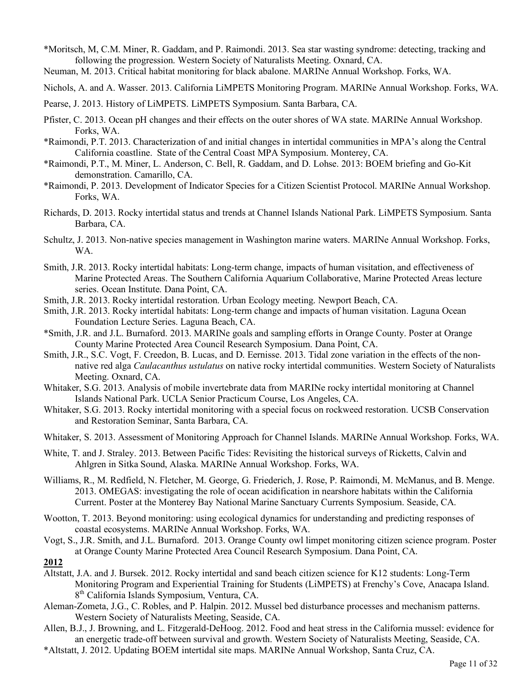- \*Moritsch, M, C.M. Miner, R. Gaddam, and P. Raimondi. 2013. Sea star wasting syndrome: detecting, tracking and following the progression. Western Society of Naturalists Meeting. Oxnard, CA.
- Neuman, M. 2013. Critical habitat monitoring for black abalone. MARINe Annual Workshop. Forks, WA.
- Nichols, A. and A. Wasser. 2013. California LiMPETS Monitoring Program. MARINe Annual Workshop. Forks, WA.
- Pearse, J. 2013. History of LiMPETS. LiMPETS Symposium. Santa Barbara, CA.
- Pfister, C. 2013. Ocean pH changes and their effects on the outer shores of WA state. MARINe Annual Workshop. Forks, WA.
- \*Raimondi, P.T. 2013. Characterization of and initial changes in intertidal communities in MPA's along the Central California coastline. State of the Central Coast MPA Symposium. Monterey, CA.
- \*Raimondi, P.T., M. Miner, L. Anderson, C. Bell, R. Gaddam, and D. Lohse. 2013: BOEM briefing and Go-Kit demonstration. Camarillo, CA.
- \*Raimondi, P. 2013. Development of Indicator Species for a Citizen Scientist Protocol. MARINe Annual Workshop. Forks, WA.
- Richards, D. 2013. Rocky intertidal status and trends at Channel Islands National Park. LiMPETS Symposium. Santa Barbara, CA.
- Schultz, J. 2013. Non-native species management in Washington marine waters. MARINe Annual Workshop. Forks, WA.
- Smith, J.R. 2013. Rocky intertidal habitats: Long-term change, impacts of human visitation, and effectiveness of Marine Protected Areas. The Southern California Aquarium Collaborative, Marine Protected Areas lecture series. Ocean Institute. Dana Point, CA.
- Smith, J.R. 2013. Rocky intertidal restoration. Urban Ecology meeting. Newport Beach, CA.
- Smith, J.R. 2013. Rocky intertidal habitats: Long-term change and impacts of human visitation. Laguna Ocean Foundation Lecture Series. Laguna Beach, CA.
- \*Smith, J.R. and J.L. Burnaford. 2013. MARINe goals and sampling efforts in Orange County. Poster at Orange County Marine Protected Area Council Research Symposium. Dana Point, CA.
- Smith, J.R., S.C. Vogt, F. Creedon, B. Lucas, and D. Eernisse. 2013. Tidal zone variation in the effects of the nonnative red alga *Caulacanthus ustulatus* on native rocky intertidal communities. Western Society of Naturalists Meeting. Oxnard, CA.
- Whitaker, S.G. 2013. Analysis of mobile invertebrate data from MARINe rocky intertidal monitoring at Channel Islands National Park. UCLA Senior Practicum Course, Los Angeles, CA.
- Whitaker, S.G. 2013. Rocky intertidal monitoring with a special focus on rockweed restoration. UCSB Conservation and Restoration Seminar, Santa Barbara, CA.
- Whitaker, S. 2013. Assessment of Monitoring Approach for Channel Islands. MARINe Annual Workshop. Forks, WA.
- White, T. and J. Straley. 2013. Between Pacific Tides: Revisiting the historical surveys of Ricketts, Calvin and Ahlgren in Sitka Sound, Alaska. MARINe Annual Workshop. Forks, WA.
- Williams, R., M. Redfield, N. Fletcher, M. George, G. Friederich, J. Rose, P. Raimondi, M. McManus, and B. Menge. 2013. OMEGAS: investigating the role of ocean acidification in nearshore habitats within the California Current. Poster at the Monterey Bay National Marine Sanctuary Currents Symposium. Seaside, CA.
- Wootton, T. 2013. Beyond monitoring: using ecological dynamics for understanding and predicting responses of coastal ecosystems. MARINe Annual Workshop. Forks, WA.
- Vogt, S., J.R. Smith, and J.L. Burnaford. 2013. Orange County owl limpet monitoring citizen science program. Poster at Orange County Marine Protected Area Council Research Symposium. Dana Point, CA.
- **2012**
- Altstatt, J.A. and J. Bursek. 2012. Rocky intertidal and sand beach citizen science for K12 students: Long-Term Monitoring Program and Experiential Training for Students (LiMPETS) at Frenchy's Cove, Anacapa Island. 8th California Islands Symposium, Ventura, CA.
- Aleman-Zometa, J.G., C. Robles, and P. Halpin. 2012. Mussel bed disturbance processes and mechanism patterns. Western Society of Naturalists Meeting, Seaside, CA.
- Allen, B.J., J. Browning, and L. Fitzgerald-DeHoog. 2012. Food and heat stress in the California mussel: evidence for an energetic trade-off between survival and growth. Western Society of Naturalists Meeting, Seaside, CA.
- \*Altstatt, J. 2012. Updating BOEM intertidal site maps. MARINe Annual Workshop, Santa Cruz, CA.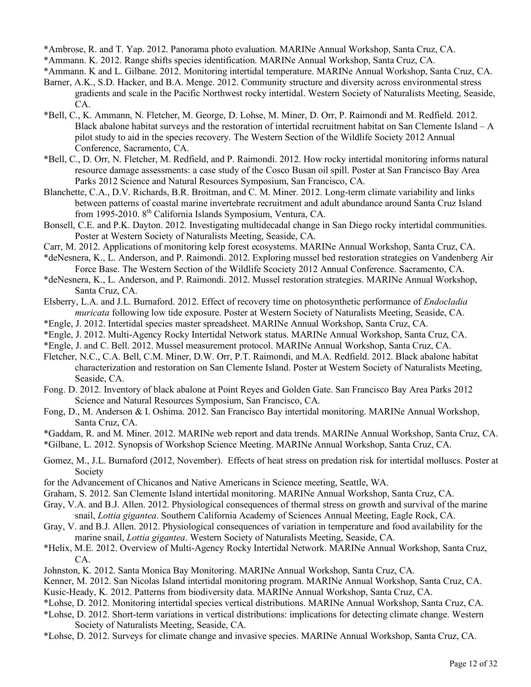\*Ambrose, R. and T. Yap. 2012. Panorama photo evaluation. MARINe Annual Workshop, Santa Cruz, CA.

\*Ammann. K. 2012. Range shifts species identification. MARINe Annual Workshop, Santa Cruz, CA.

\*Ammann. K and L. Gilbane. 2012. Monitoring intertidal temperature. MARINe Annual Workshop, Santa Cruz, CA.

- Barner, A.K., S.D. Hacker, and B.A. Menge. 2012. Community structure and diversity across environmental stress gradients and scale in the Pacific Northwest rocky intertidal. Western Society of Naturalists Meeting, Seaside, CA.
- \*Bell, C., K. Ammann, N. Fletcher, M. George, D. Lohse, M. Miner, D. Orr, P. Raimondi and M. Redfield. 2012. Black abalone habitat surveys and the restoration of intertidal recruitment habitat on San Clemente Island – A pilot study to aid in the species recovery. The Western Section of the Wildlife Society 2012 Annual Conference, Sacramento, CA.
- \*Bell, C., D. Orr, N. Fletcher, M. Redfield, and P. Raimondi. 2012. How rocky intertidal monitoring informs natural resource damage assessments: a case study of the Cosco Busan oil spill. Poster at San Francisco Bay Area Parks 2012 Science and Natural Resources Symposium, San Francisco, CA.
- Blanchette, C.A., D.V. Richards, B.R. Broitman, and C. M. Miner. 2012. Long-term climate variability and links between patterns of coastal marine invertebrate recruitment and adult abundance around Santa Cruz Island from 1995-2010. 8th California Islands Symposium, Ventura, CA.
- Bonsell, C.E. and P.K. Dayton. 2012. Investigating multidecadal change in San Diego rocky intertidal communities. Poster at Western Society of Naturalists Meeting, Seaside, CA.
- Carr, M. 2012. Applications of monitoring kelp forest ecosystems. MARINe Annual Workshop, Santa Cruz, CA.
- \*deNesnera, K., L. Anderson, and P. Raimondi. 2012. Exploring mussel bed restoration strategies on Vandenberg Air Force Base. The Western Section of the Wildlife Scociety 2012 Annual Conference. Sacramento, CA.
- \*deNesnera, K., L. Anderson, and P. Raimondi. 2012. Mussel restoration strategies. MARINe Annual Workshop, Santa Cruz, CA.
- Elsberry, L.A. and J.L. Burnaford. 2012. Effect of recovery time on photosynthetic performance of *Endocladia muricata* following low tide exposure. Poster at Western Society of Naturalists Meeting, Seaside, CA.
- \*Engle, J. 2012. Intertidal species master spreadsheet. MARINe Annual Workshop, Santa Cruz, CA.
- \*Engle, J. 2012. Multi-Agency Rocky Intertidal Network status. MARINe Annual Workshop, Santa Cruz, CA.
- \*Engle, J. and C. Bell. 2012. Mussel measurement protocol. MARINe Annual Workshop, Santa Cruz, CA.
- Fletcher, N.C., C.A. Bell, C.M. Miner, D.W. Orr, P.T. Raimondi, and M.A. Redfield. 2012. Black abalone habitat characterization and restoration on San Clemente Island. Poster at Western Society of Naturalists Meeting, Seaside, CA.
- Fong. D. 2012. Inventory of black abalone at Point Reyes and Golden Gate. San Francisco Bay Area Parks 2012 Science and Natural Resources Symposium, San Francisco, CA.
- Fong, D., M. Anderson & I. Oshima. 2012. San Francisco Bay intertidal monitoring. MARINe Annual Workshop, Santa Cruz, CA.
- \*Gaddam, R. and M. Miner. 2012. MARINe web report and data trends. MARINe Annual Workshop, Santa Cruz, CA.

\*Gilbane, L. 2012. Synopsis of Workshop Science Meeting. MARINe Annual Workshop, Santa Cruz, CA.

- Gomez, M., J.L. Burnaford (2012, November). Effects of heat stress on predation risk for intertidal molluscs. Poster at Society
- for the Advancement of Chicanos and Native Americans in Science meeting, Seattle, WA.
- Graham, S. 2012. San Clemente Island intertidal monitoring. MARINe Annual Workshop, Santa Cruz, CA.
- Gray, V.A. and B.J. Allen. 2012. Physiological consequences of thermal stress on growth and survival of the marine snail, *Lottia gigantea*. Southern California Academy of Sciences Annual Meeting, Eagle Rock, CA.
- Gray, V. and B.J. Allen. 2012. Physiological consequences of variation in temperature and food availability for the marine snail, *Lottia gigantea*. Western Society of Naturalists Meeting, Seaside, CA.
- \*Helix, M.E. 2012. Overview of Multi-Agency Rocky Intertidal Network. MARINe Annual Workshop, Santa Cruz, CA.
- Johnston, K. 2012. Santa Monica Bay Monitoring. MARINe Annual Workshop, Santa Cruz, CA.
- Kenner, M. 2012. San Nicolas Island intertidal monitoring program. MARINe Annual Workshop, Santa Cruz, CA.
- Kusic-Heady, K. 2012. Patterns from biodiversity data. MARINe Annual Workshop, Santa Cruz, CA.
- \*Lohse, D. 2012. Monitoring intertidal species vertical distributions. MARINe Annual Workshop, Santa Cruz, CA.
- \*Lohse, D. 2012. Short-term variations in vertical distributions: implications for detecting climate change. Western Society of Naturalists Meeting, Seaside, CA.
- \*Lohse, D. 2012. Surveys for climate change and invasive species. MARINe Annual Workshop, Santa Cruz, CA.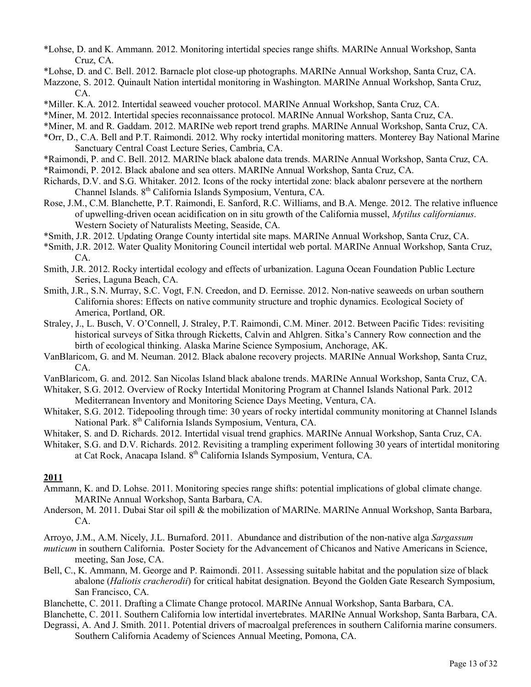- \*Lohse, D. and K. Ammann. 2012. Monitoring intertidal species range shifts. MARINe Annual Workshop, Santa Cruz, CA.
- \*Lohse, D. and C. Bell. 2012. Barnacle plot close-up photographs. MARINe Annual Workshop, Santa Cruz, CA.
- Mazzone, S. 2012. Quinault Nation intertidal monitoring in Washington. MARINe Annual Workshop, Santa Cruz, CA.
- \*Miller. K.A. 2012. Intertidal seaweed voucher protocol. MARINe Annual Workshop, Santa Cruz, CA.
- \*Miner, M. 2012. Intertidal species reconnaissance protocol. MARINe Annual Workshop, Santa Cruz, CA.
- \*Miner, M. and R. Gaddam. 2012. MARINe web report trend graphs. MARINe Annual Workshop, Santa Cruz, CA.
- \*Orr, D., C.A. Bell and P.T. Raimondi. 2012. Why rocky intertidal monitoring matters. Monterey Bay National Marine Sanctuary Central Coast Lecture Series, Cambria, CA.
- \*Raimondi, P. and C. Bell. 2012. MARINe black abalone data trends. MARINe Annual Workshop, Santa Cruz, CA.
- \*Raimondi, P. 2012. Black abalone and sea otters. MARINe Annual Workshop, Santa Cruz, CA.
- Richards, D.V. and S.G. Whitaker. 2012. Icons of the rocky intertidal zone: black abalonr persevere at the northern Channel Islands. 8th California Islands Symposium, Ventura, CA.
- Rose, J.M., C.M. Blanchette, P.T. Raimondi, E. Sanford, R.C. Williams, and B.A. Menge. 2012. The relative influence of upwelling-driven ocean acidification on in situ growth of the California mussel, *Mytilus californianus*. Western Society of Naturalists Meeting, Seaside, CA.
- \*Smith, J.R. 2012. Updating Orange County intertidal site maps. MARINe Annual Workshop, Santa Cruz, CA.
- \*Smith, J.R. 2012. Water Quality Monitoring Council intertidal web portal. MARINe Annual Workshop, Santa Cruz, CA.
- Smith, J.R. 2012. Rocky intertidal ecology and effects of urbanization. Laguna Ocean Foundation Public Lecture Series, Laguna Beach, CA.
- Smith, J.R., S.N. Murray, S.C. Vogt, F.N. Creedon, and D. Eernisse. 2012. Non-native seaweeds on urban southern California shores: Effects on native community structure and trophic dynamics. Ecological Society of America, Portland, OR.
- Straley, J., L. Busch, V. O'Connell, J. Straley, P.T. Raimondi, C.M. Miner. 2012. Between Pacific Tides: revisiting historical surveys of Sitka through Ricketts, Calvin and Ahlgren. Sitka's Cannery Row connection and the birth of ecological thinking. Alaska Marine Science Symposium, Anchorage, AK.
- VanBlaricom, G. and M. Neuman. 2012. Black abalone recovery projects. MARINe Annual Workshop, Santa Cruz, CA.
- VanBlaricom, G. and. 2012. San Nicolas Island black abalone trends. MARINe Annual Workshop, Santa Cruz, CA.
- Whitaker, S.G. 2012. Overview of Rocky Intertidal Monitoring Program at Channel Islands National Park. 2012 Mediterranean Inventory and Monitoring Science Days Meeting, Ventura, CA.
- Whitaker, S.G. 2012. Tidepooling through time: 30 years of rocky intertidal community monitoring at Channel Islands National Park. 8<sup>th</sup> California Islands Symposium, Ventura, CA.
- Whitaker, S. and D. Richards. 2012. Intertidal visual trend graphics. MARINe Annual Workshop, Santa Cruz, CA.

Whitaker, S.G. and D.V. Richards. 2012. Revisiting a trampling experiment following 30 years of intertidal monitoring at Cat Rock, Anacapa Island. 8th California Islands Symposium, Ventura, CA.

# **2011**

- Ammann, K. and D. Lohse. 2011. Monitoring species range shifts: potential implications of global climate change. MARINe Annual Workshop, Santa Barbara, CA.
- Anderson, M. 2011. Dubai Star oil spill & the mobilization of MARINe. MARINe Annual Workshop, Santa Barbara, CA.

Arroyo, J.M., A.M. Nicely, J.L. Burnaford. 2011. Abundance and distribution of the non-native alga *Sargassum* 

- *muticum* in southern California. Poster Society for the Advancement of Chicanos and Native Americans in Science, meeting, San Jose, CA.
- Bell, C., K. Ammann, M. George and P. Raimondi. 2011. Assessing suitable habitat and the population size of black abalone (*Haliotis cracherodii*) for critical habitat designation. Beyond the Golden Gate Research Symposium, San Francisco, CA.
- Blanchette, C. 2011. Drafting a Climate Change protocol. MARINe Annual Workshop, Santa Barbara, CA.

Blanchette, C. 2011. Southern California low intertidal invertebrates. MARINe Annual Workshop, Santa Barbara, CA.

Degrassi, A. And J. Smith. 2011. Potential drivers of macroalgal preferences in southern California marine consumers. Southern California Academy of Sciences Annual Meeting, Pomona, CA.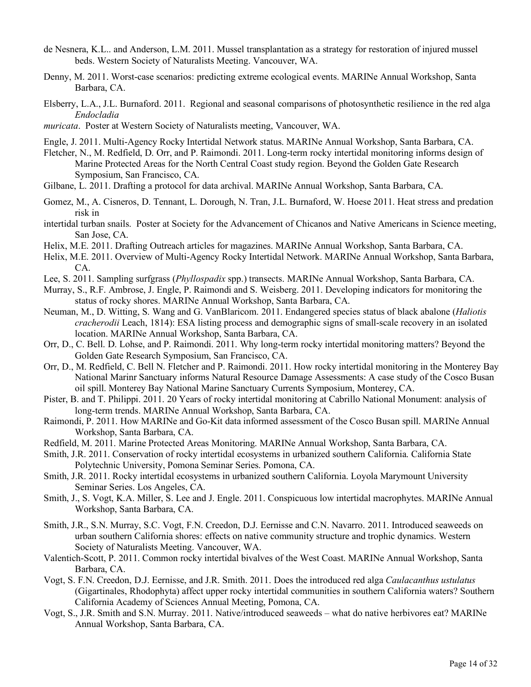- de Nesnera, K.L.. and Anderson, L.M. 2011. Mussel transplantation as a strategy for restoration of injured mussel beds. Western Society of Naturalists Meeting. Vancouver, WA.
- Denny, M. 2011. Worst-case scenarios: predicting extreme ecological events. MARINe Annual Workshop, Santa Barbara, CA.
- Elsberry, L.A., J.L. Burnaford. 2011. Regional and seasonal comparisons of photosynthetic resilience in the red alga *Endocladia*
- *muricata*. Poster at Western Society of Naturalists meeting, Vancouver, WA.
- Engle, J. 2011. Multi-Agency Rocky Intertidal Network status. MARINe Annual Workshop, Santa Barbara, CA.
- Fletcher, N., M. Redfield, D. Orr, and P. Raimondi. 2011. Long-term rocky intertidal monitoring informs design of Marine Protected Areas for the North Central Coast study region. Beyond the Golden Gate Research Symposium, San Francisco, CA.
- Gilbane, L. 2011. Drafting a protocol for data archival. MARINe Annual Workshop, Santa Barbara, CA.
- Gomez, M., A. Cisneros, D. Tennant, L. Dorough, N. Tran, J.L. Burnaford, W. Hoese 2011. Heat stress and predation risk in
- intertidal turban snails. Poster at Society for the Advancement of Chicanos and Native Americans in Science meeting, San Jose, CA.
- Helix, M.E. 2011. Drafting Outreach articles for magazines. MARINe Annual Workshop, Santa Barbara, CA.
- Helix, M.E. 2011. Overview of Multi-Agency Rocky Intertidal Network. MARINe Annual Workshop, Santa Barbara, CA.
- Lee, S. 2011. Sampling surfgrass (*Phyllospadix* spp.) transects. MARINe Annual Workshop, Santa Barbara, CA.
- Murray, S., R.F. Ambrose, J. Engle, P. Raimondi and S. Weisberg. 2011. Developing indicators for monitoring the status of rocky shores. MARINe Annual Workshop, Santa Barbara, CA.
- Neuman, M., D. Witting, S. Wang and G. VanBlaricom. 2011. Endangered species status of black abalone (*Haliotis cracherodii* Leach, 1814): ESA listing process and demographic signs of small-scale recovery in an isolated location. MARINe Annual Workshop, Santa Barbara, CA.
- Orr, D., C. Bell. D. Lohse, and P. Raimondi. 2011. Why long-term rocky intertidal monitoring matters? Beyond the Golden Gate Research Symposium, San Francisco, CA.
- Orr, D., M. Redfield, C. Bell N. Fletcher and P. Raimondi. 2011. How rocky intertidal monitoring in the Monterey Bay National Marinr Sanctuary informs Natural Resource Damage Assessments: A case study of the Cosco Busan oil spill. Monterey Bay National Marine Sanctuary Currents Symposium, Monterey, CA.
- Pister, B. and T. Philippi. 2011. 20 Years of rocky intertidal monitoring at Cabrillo National Monument: analysis of long-term trends. MARINe Annual Workshop, Santa Barbara, CA.
- Raimondi, P. 2011. How MARINe and Go-Kit data informed assessment of the Cosco Busan spill. MARINe Annual Workshop, Santa Barbara, CA.
- Redfield, M. 2011. Marine Protected Areas Monitoring. MARINe Annual Workshop, Santa Barbara, CA.
- Smith, J.R. 2011. Conservation of rocky intertidal ecosystems in urbanized southern California. California State Polytechnic University, Pomona Seminar Series. Pomona, CA.
- Smith, J.R. 2011. Rocky intertidal ecosystems in urbanized southern California. Loyola Marymount University Seminar Series. Los Angeles, CA.
- Smith, J., S. Vogt, K.A. Miller, S. Lee and J. Engle. 2011. Conspicuous low intertidal macrophytes. MARINe Annual Workshop, Santa Barbara, CA.
- Smith, J.R., S.N. Murray, S.C. Vogt, F.N. Creedon, D.J. Eernisse and C.N. Navarro. 2011. Introduced seaweeds on urban southern California shores: effects on native community structure and trophic dynamics. Western Society of Naturalists Meeting. Vancouver, WA.
- Valentich-Scott, P. 2011. Common rocky intertidal bivalves of the West Coast. MARINe Annual Workshop, Santa Barbara, CA.
- Vogt, S. F.N. Creedon, D.J. Eernisse, and J.R. Smith. 2011. Does the introduced red alga *Caulacanthus ustulatus* (Gigartinales, Rhodophyta) affect upper rocky intertidal communities in southern California waters? Southern California Academy of Sciences Annual Meeting, Pomona, CA.
- Vogt, S., J.R. Smith and S.N. Murray. 2011. Native/introduced seaweeds what do native herbivores eat? MARINe Annual Workshop, Santa Barbara, CA.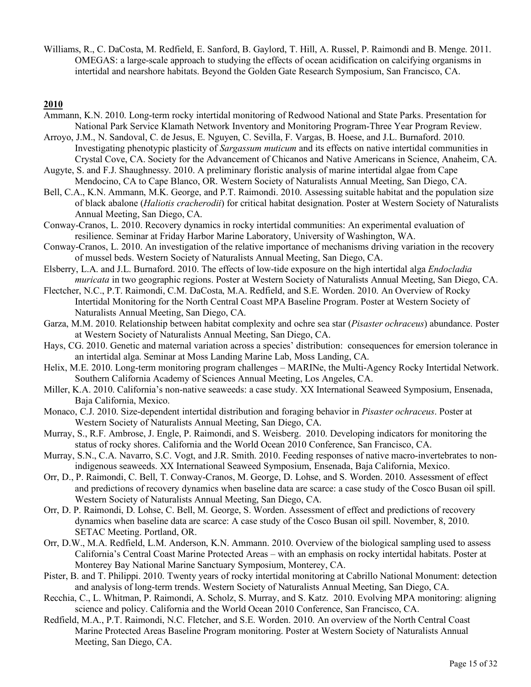Williams, R., C. DaCosta, M. Redfield, E. Sanford, B. Gaylord, T. Hill, A. Russel, P. Raimondi and B. Menge. 2011. OMEGAS: a large-scale approach to studying the effects of ocean acidification on calcifying organisms in intertidal and nearshore habitats. Beyond the Golden Gate Research Symposium, San Francisco, CA.

- Ammann, K.N. 2010. Long-term rocky intertidal monitoring of Redwood National and State Parks. Presentation for National Park Service Klamath Network Inventory and Monitoring Program-Three Year Program Review.
- Arroyo, J.M., N. Sandoval, C. de Jesus, E. Nguyen, C. Sevilla, F. Vargas, B. Hoese, and J.L. Burnaford. 2010. Investigating phenotypic plasticity of *Sargassum muticum* and its effects on native intertidal communities in Crystal Cove, CA. Society for the Advancement of Chicanos and Native Americans in Science, Anaheim, CA.
- Augyte, S. and F.J. Shaughnessy. 2010. A preliminary floristic analysis of marine intertidal algae from Cape Mendocino, CA to Cape Blanco, OR. Western Society of Naturalists Annual Meeting, San Diego, CA.
- Bell, C.A., K.N. Ammann, M.K. George, and P.T. Raimondi. 2010. Assessing suitable habitat and the population size of black abalone (*Haliotis cracherodii*) for critical habitat designation. Poster at Western Society of Naturalists Annual Meeting, San Diego, CA.
- Conway-Cranos, L. 2010. Recovery dynamics in rocky intertidal communities: An experimental evaluation of resilience. Seminar at Friday Harbor Marine Laboratory, University of Washington, WA.
- Conway-Cranos, L. 2010. An investigation of the relative importance of mechanisms driving variation in the recovery of mussel beds. Western Society of Naturalists Annual Meeting, San Diego, CA.
- Elsberry, L.A. and J.L. Burnaford. 2010. The effects of low-tide exposure on the high intertidal alga *Endocladia muricata* in two geographic regions. Poster at Western Society of Naturalists Annual Meeting, San Diego, CA.
- Flectcher, N.C., P.T. Raimondi, C.M. DaCosta, M.A. Redfield, and S.E. Worden. 2010. An Overview of Rocky Intertidal Monitoring for the North Central Coast MPA Baseline Program. Poster at Western Society of Naturalists Annual Meeting, San Diego, CA.
- Garza, M.M. 2010. Relationship between habitat complexity and ochre sea star (*Pisaster ochraceus*) abundance. Poster at Western Society of Naturalists Annual Meeting, San Diego, CA.
- Hays, CG. 2010. Genetic and maternal variation across a species' distribution: consequences for emersion tolerance in an intertidal alga. Seminar at Moss Landing Marine Lab, Moss Landing, CA.
- Helix, M.E. 2010. Long-term monitoring program challenges MARINe, the Multi-Agency Rocky Intertidal Network. Southern California Academy of Sciences Annual Meeting, Los Angeles, CA.
- Miller, K.A. 2010. California's non-native seaweeds: a case study. XX International Seaweed Symposium, Ensenada, Baja California, Mexico.
- Monaco, C.J. 2010. Size-dependent intertidal distribution and foraging behavior in *Pisaster ochraceus*. Poster at Western Society of Naturalists Annual Meeting, San Diego, CA.
- Murray, S., R.F. Ambrose, J. Engle, P. Raimondi, and S. Weisberg. 2010. Developing indicators for monitoring the status of rocky shores. California and the World Ocean 2010 Conference, San Francisco, CA.
- Murray, S.N., C.A. Navarro, S.C. Vogt, and J.R. Smith. 2010. Feeding responses of native macro-invertebrates to nonindigenous seaweeds. XX International Seaweed Symposium, Ensenada, Baja California, Mexico.
- Orr, D., P. Raimondi, C. Bell, T. Conway-Cranos, M. George, D. Lohse, and S. Worden. 2010. Assessment of effect and predictions of recovery dynamics when baseline data are scarce: a case study of the Cosco Busan oil spill. Western Society of Naturalists Annual Meeting, San Diego, CA.
- Orr, D. P. Raimondi, D. Lohse, C. Bell, M. George, S. Worden. Assessment of effect and predictions of recovery dynamics when baseline data are scarce: A case study of the Cosco Busan oil spill. November, 8, 2010. SETAC Meeting. Portland, OR.
- Orr, D.W., M.A. Redfield, L.M. Anderson, K.N. Ammann. 2010. Overview of the biological sampling used to assess California's Central Coast Marine Protected Areas – with an emphasis on rocky intertidal habitats. Poster at Monterey Bay National Marine Sanctuary Symposium, Monterey, CA.
- Pister, B. and T. Philippi. 2010. Twenty years of rocky intertidal monitoring at Cabrillo National Monument: detection and analysis of long-term trends. Western Society of Naturalists Annual Meeting, San Diego, CA.
- Recchia, C., L. Whitman, P. Raimondi, A. Scholz, S. Murray, and S. Katz. 2010. Evolving MPA monitoring: aligning science and policy. California and the World Ocean 2010 Conference, San Francisco, CA.
- Redfield, M.A., P.T. Raimondi, N.C. Fletcher, and S.E. Worden. 2010. An overview of the North Central Coast Marine Protected Areas Baseline Program monitoring. Poster at Western Society of Naturalists Annual Meeting, San Diego, CA.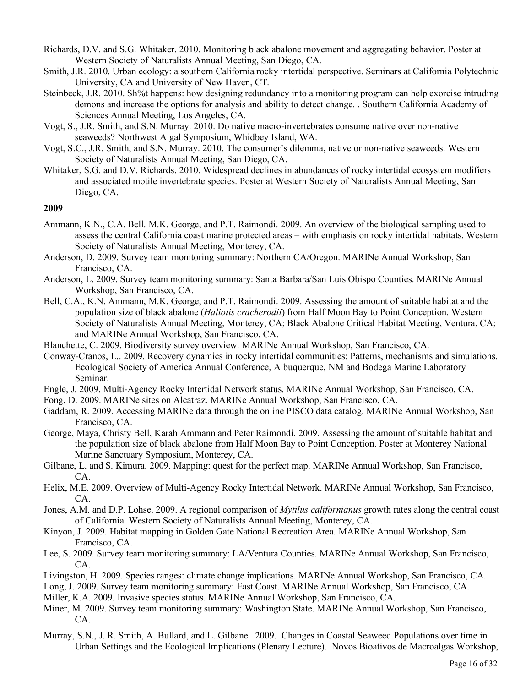- Richards, D.V. and S.G. Whitaker. 2010. Monitoring black abalone movement and aggregating behavior. Poster at Western Society of Naturalists Annual Meeting, San Diego, CA.
- Smith, J.R. 2010. Urban ecology: a southern California rocky intertidal perspective. Seminars at California Polytechnic University, CA and University of New Haven, CT.
- Steinbeck, J.R. 2010. Sh%t happens: how designing redundancy into a monitoring program can help exorcise intruding demons and increase the options for analysis and ability to detect change. . Southern California Academy of Sciences Annual Meeting, Los Angeles, CA.
- Vogt, S., J.R. Smith, and S.N. Murray. 2010. Do native macro-invertebrates consume native over non-native seaweeds? Northwest Algal Symposium, Whidbey Island, WA.
- Vogt, S.C., J.R. Smith, and S.N. Murray. 2010. The consumer's dilemma, native or non-native seaweeds. Western Society of Naturalists Annual Meeting, San Diego, CA.
- Whitaker, S.G. and D.V. Richards. 2010. Widespread declines in abundances of rocky intertidal ecosystem modifiers and associated motile invertebrate species. Poster at Western Society of Naturalists Annual Meeting, San Diego, CA.

- Ammann, K.N., C.A. Bell. M.K. George, and P.T. Raimondi. 2009. An overview of the biological sampling used to assess the central California coast marine protected areas – with emphasis on rocky intertidal habitats. Western Society of Naturalists Annual Meeting, Monterey, CA.
- Anderson, D. 2009. Survey team monitoring summary: Northern CA/Oregon. MARINe Annual Workshop, San Francisco, CA.
- Anderson, L. 2009. Survey team monitoring summary: Santa Barbara/San Luis Obispo Counties. MARINe Annual Workshop, San Francisco, CA.
- Bell, C.A., K.N. Ammann, M.K. George, and P.T. Raimondi. 2009. Assessing the amount of suitable habitat and the population size of black abalone (*Haliotis cracherodii*) from Half Moon Bay to Point Conception. Western Society of Naturalists Annual Meeting, Monterey, CA; Black Abalone Critical Habitat Meeting, Ventura, CA; and MARINe Annual Workshop, San Francisco, CA.
- Blanchette, C. 2009. Biodiversity survey overview. MARINe Annual Workshop, San Francisco, CA.
- Conway-Cranos, L.. 2009. Recovery dynamics in rocky intertidal communities: Patterns, mechanisms and simulations. Ecological Society of America Annual Conference, Albuquerque, NM and Bodega Marine Laboratory Seminar.
- Engle, J. 2009. Multi-Agency Rocky Intertidal Network status. MARINe Annual Workshop, San Francisco, CA.
- Fong, D. 2009. MARINe sites on Alcatraz. MARINe Annual Workshop, San Francisco, CA.
- Gaddam, R. 2009. Accessing MARINe data through the online PISCO data catalog. MARINe Annual Workshop, San Francisco, CA.
- George, Maya, Christy Bell, Karah Ammann and Peter Raimondi. 2009. Assessing the amount of suitable habitat and the population size of black abalone from Half Moon Bay to Point Conception. Poster at Monterey National Marine Sanctuary Symposium, Monterey, CA.
- Gilbane, L. and S. Kimura. 2009. Mapping: quest for the perfect map. MARINe Annual Workshop, San Francisco, CA.
- Helix, M.E. 2009. Overview of Multi-Agency Rocky Intertidal Network. MARINe Annual Workshop, San Francisco, CA.
- Jones, A.M. and D.P. Lohse. 2009. A regional comparison of *Mytilus californianus* growth rates along the central coast of California. Western Society of Naturalists Annual Meeting, Monterey, CA.
- Kinyon, J. 2009. Habitat mapping in Golden Gate National Recreation Area. MARINe Annual Workshop, San Francisco, CA.
- Lee, S. 2009. Survey team monitoring summary: LA/Ventura Counties. MARINe Annual Workshop, San Francisco, CA.
- Livingston, H. 2009. Species ranges: climate change implications. MARINe Annual Workshop, San Francisco, CA.
- Long, J. 2009. Survey team monitoring summary: East Coast. MARINe Annual Workshop, San Francisco, CA.
- Miller, K.A. 2009. Invasive species status. MARINe Annual Workshop, San Francisco, CA.
- Miner, M. 2009. Survey team monitoring summary: Washington State. MARINe Annual Workshop, San Francisco, CA.
- Murray, S.N., J. R. Smith, A. Bullard, and L. Gilbane. 2009. Changes in Coastal Seaweed Populations over time in Urban Settings and the Ecological Implications (Plenary Lecture).Novos Bioativos de Macroalgas Workshop,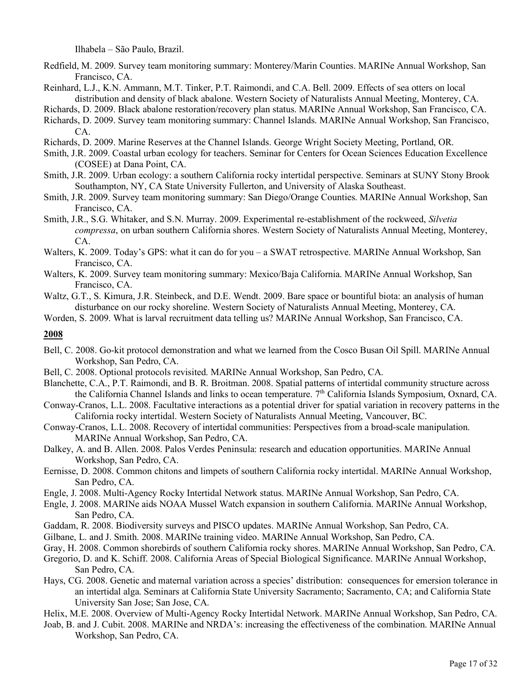Ilhabela – São Paulo, Brazil.

- Redfield, M. 2009. Survey team monitoring summary: Monterey/Marin Counties. MARINe Annual Workshop, San Francisco, CA.
- Reinhard, L.J., K.N. Ammann, M.T. Tinker, P.T. Raimondi, and C.A. Bell. 2009. Effects of sea otters on local distribution and density of black abalone. Western Society of Naturalists Annual Meeting, Monterey, CA.

Richards, D. 2009. Black abalone restoration/recovery plan status. MARINe Annual Workshop, San Francisco, CA.

- Richards, D. 2009. Survey team monitoring summary: Channel Islands. MARINe Annual Workshop, San Francisco, CA.
- Richards, D. 2009. Marine Reserves at the Channel Islands. George Wright Society Meeting, Portland, OR.
- Smith, J.R. 2009. Coastal urban ecology for teachers. Seminar for Centers for Ocean Sciences Education Excellence (COSEE) at Dana Point, CA.
- Smith, J.R. 2009. Urban ecology: a southern California rocky intertidal perspective. Seminars at SUNY Stony Brook Southampton, NY, CA State University Fullerton, and University of Alaska Southeast.
- Smith, J.R. 2009. Survey team monitoring summary: San Diego/Orange Counties. MARINe Annual Workshop, San Francisco, CA.
- Smith, J.R., S.G. Whitaker, and S.N. Murray. 2009. Experimental re-establishment of the rockweed, *Silvetia compressa*, on urban southern California shores. Western Society of Naturalists Annual Meeting, Monterey, CA.
- Walters, K. 2009. Today's GPS: what it can do for you a SWAT retrospective. MARINe Annual Workshop, San Francisco, CA.
- Walters, K. 2009. Survey team monitoring summary: Mexico/Baja California. MARINe Annual Workshop, San Francisco, CA.
- Waltz, G.T., S. Kimura, J.R. Steinbeck, and D.E. Wendt. 2009. Bare space or bountiful biota: an analysis of human disturbance on our rocky shoreline. Western Society of Naturalists Annual Meeting, Monterey, CA.

Worden, S. 2009. What is larval recruitment data telling us? MARINe Annual Workshop, San Francisco, CA.

- Bell, C. 2008. Go-kit protocol demonstration and what we learned from the Cosco Busan Oil Spill. MARINe Annual Workshop, San Pedro, CA.
- Bell, C. 2008. Optional protocols revisited. MARINe Annual Workshop, San Pedro, CA.
- Blanchette, C.A., P.T. Raimondi, and B. R. Broitman. 2008. Spatial patterns of intertidal community structure across the California Channel Islands and links to ocean temperature. 7<sup>th</sup> California Islands Symposium, Oxnard, CA.
- Conway-Cranos, L.L. 2008. Facultative interactions as a potential driver for spatial variation in recovery patterns in the California rocky intertidal. Western Society of Naturalists Annual Meeting, Vancouver, BC.
- Conway-Cranos, L.L. 2008. Recovery of intertidal communities: Perspectives from a broad-scale manipulation. MARINe Annual Workshop, San Pedro, CA.
- Dalkey, A. and B. Allen. 2008. Palos Verdes Peninsula: research and education opportunities. MARINe Annual Workshop, San Pedro, CA.
- Eernisse, D. 2008. Common chitons and limpets of southern California rocky intertidal. MARINe Annual Workshop, San Pedro, CA.
- Engle, J. 2008. Multi-Agency Rocky Intertidal Network status. MARINe Annual Workshop, San Pedro, CA.
- Engle, J. 2008. MARINe aids NOAA Mussel Watch expansion in southern California. MARINe Annual Workshop, San Pedro, CA.
- Gaddam, R. 2008. Biodiversity surveys and PISCO updates. MARINe Annual Workshop, San Pedro, CA.
- Gilbane, L. and J. Smith. 2008. MARINe training video. MARINe Annual Workshop, San Pedro, CA.
- Gray, H. 2008. Common shorebirds of southern California rocky shores. MARINe Annual Workshop, San Pedro, CA.
- Gregorio, D. and K. Schiff. 2008. California Areas of Special Biological Significance. MARINe Annual Workshop, San Pedro, CA.
- Hays, CG. 2008. Genetic and maternal variation across a species' distribution: consequences for emersion tolerance in an intertidal alga. Seminars at California State University Sacramento; Sacramento, CA; and California State University San Jose; San Jose, CA.
- Helix, M.E. 2008. Overview of Multi-Agency Rocky Intertidal Network. MARINe Annual Workshop, San Pedro, CA.
- Joab, B. and J. Cubit. 2008. MARINe and NRDA's: increasing the effectiveness of the combination. MARINe Annual Workshop, San Pedro, CA.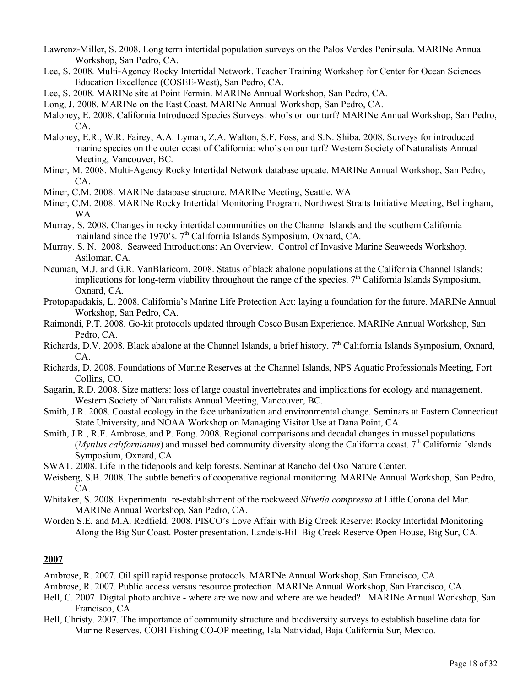- Lawrenz-Miller, S. 2008. Long term intertidal population surveys on the Palos Verdes Peninsula. MARINe Annual Workshop, San Pedro, CA.
- Lee, S. 2008. Multi-Agency Rocky Intertidal Network. Teacher Training Workshop for Center for Ocean Sciences Education Excellence (COSEE-West), San Pedro, CA.
- Lee, S. 2008. MARINe site at Point Fermin. MARINe Annual Workshop, San Pedro, CA.
- Long, J. 2008. MARINe on the East Coast. MARINe Annual Workshop, San Pedro, CA.
- Maloney, E. 2008. California Introduced Species Surveys: who's on our turf? MARINe Annual Workshop, San Pedro, CA.
- Maloney, E.R., W.R. Fairey, A.A. Lyman, Z.A. Walton, S.F. Foss, and S.N. Shiba. 2008. Surveys for introduced marine species on the outer coast of California: who's on our turf? Western Society of Naturalists Annual Meeting, Vancouver, BC.
- Miner, M. 2008. Multi-Agency Rocky Intertidal Network database update. MARINe Annual Workshop, San Pedro, CA.
- Miner, C.M. 2008. MARINe database structure. MARINe Meeting, Seattle, WA
- Miner, C.M. 2008. MARINe Rocky Intertidal Monitoring Program, Northwest Straits Initiative Meeting, Bellingham, WA
- Murray, S. 2008. Changes in rocky intertidal communities on the Channel Islands and the southern California mainland since the 1970's.  $7<sup>th</sup>$  California Islands Symposium, Oxnard, CA.
- Murray. S. N. 2008. Seaweed Introductions: An Overview. Control of Invasive Marine Seaweeds Workshop, Asilomar, CA.
- Neuman, M.J. and G.R. VanBlaricom. 2008. Status of black abalone populations at the California Channel Islands: implications for long-term viability throughout the range of the species.  $7<sup>th</sup>$  California Islands Symposium, Oxnard, CA.
- Protopapadakis, L. 2008. California's Marine Life Protection Act: laying a foundation for the future. MARINe Annual Workshop, San Pedro, CA.
- Raimondi, P.T. 2008. Go-kit protocols updated through Cosco Busan Experience. MARINe Annual Workshop, San Pedro, CA.
- Richards, D.V. 2008. Black abalone at the Channel Islands, a brief history.  $7<sup>th</sup>$  California Islands Symposium, Oxnard, CA.
- Richards, D. 2008. Foundations of Marine Reserves at the Channel Islands, NPS Aquatic Professionals Meeting, Fort Collins, CO.
- Sagarin, R.D. 2008. Size matters: loss of large coastal invertebrates and implications for ecology and management. Western Society of Naturalists Annual Meeting, Vancouver, BC.
- Smith, J.R. 2008. Coastal ecology in the face urbanization and environmental change. Seminars at Eastern Connecticut State University, and NOAA Workshop on Managing Visitor Use at Dana Point, CA.
- Smith, J.R., R.F. Ambrose, and P. Fong. 2008. Regional comparisons and decadal changes in mussel populations (*Mytilus californianus*) and mussel bed community diversity along the California coast.  $7<sup>th</sup>$  California Islands Symposium, Oxnard, CA.
- SWAT. 2008. Life in the tidepools and kelp forests. Seminar at Rancho del Oso Nature Center.
- Weisberg, S.B. 2008. The subtle benefits of cooperative regional monitoring. MARINe Annual Workshop, San Pedro, CA.
- Whitaker, S. 2008. Experimental re-establishment of the rockweed *Silvetia compressa* at Little Corona del Mar. MARINe Annual Workshop, San Pedro, CA.
- Worden S.E. and M.A. Redfield. 2008. PISCO's Love Affair with Big Creek Reserve: Rocky Intertidal Monitoring Along the Big Sur Coast. Poster presentation. Landels-Hill Big Creek Reserve Open House, Big Sur, CA.

- Ambrose, R. 2007. Oil spill rapid response protocols. MARINe Annual Workshop, San Francisco, CA.
- Ambrose, R. 2007. Public access versus resource protection. MARINe Annual Workshop, San Francisco, CA.
- Bell, C. 2007. Digital photo archive where are we now and where are we headed? MARINe Annual Workshop, San Francisco, CA.
- Bell, Christy. 2007. The importance of community structure and biodiversity surveys to establish baseline data for Marine Reserves. COBI Fishing CO-OP meeting, Isla Natividad, Baja California Sur, Mexico.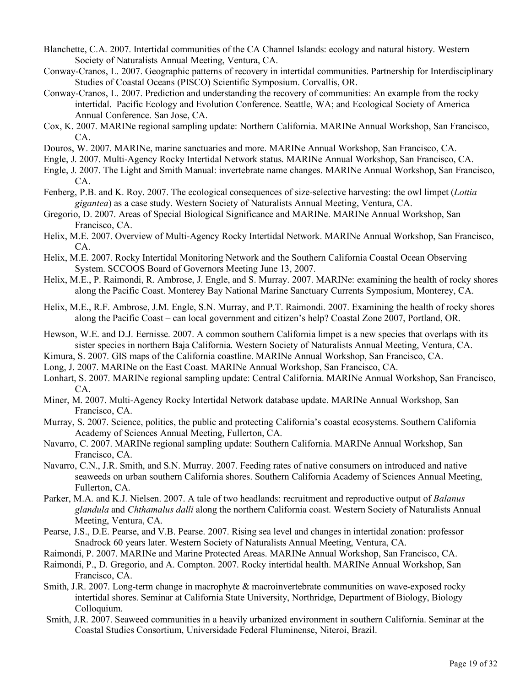- Blanchette, C.A. 2007. Intertidal communities of the CA Channel Islands: ecology and natural history. Western Society of Naturalists Annual Meeting, Ventura, CA.
- Conway-Cranos, L. 2007. Geographic patterns of recovery in intertidal communities. Partnership for Interdisciplinary Studies of Coastal Oceans (PISCO) Scientific Symposium. Corvallis, OR.
- Conway-Cranos, L. 2007. Prediction and understanding the recovery of communities: An example from the rocky intertidal. Pacific Ecology and Evolution Conference. Seattle, WA; and Ecological Society of America Annual Conference. San Jose, CA.
- Cox, K. 2007. MARINe regional sampling update: Northern California. MARINe Annual Workshop, San Francisco, CA.
- Douros, W. 2007. MARINe, marine sanctuaries and more. MARINe Annual Workshop, San Francisco, CA.
- Engle, J. 2007. Multi-Agency Rocky Intertidal Network status. MARINe Annual Workshop, San Francisco, CA.
- Engle, J. 2007. The Light and Smith Manual: invertebrate name changes. MARINe Annual Workshop, San Francisco, CA.
- Fenberg, P.B. and K. Roy. 2007. The ecological consequences of size-selective harvesting: the owl limpet (*Lottia gigantea*) as a case study. Western Society of Naturalists Annual Meeting, Ventura, CA.
- Gregorio, D. 2007. Areas of Special Biological Significance and MARINe. MARINe Annual Workshop, San Francisco, CA.
- Helix, M.E. 2007. Overview of Multi-Agency Rocky Intertidal Network. MARINe Annual Workshop, San Francisco, CA.
- Helix, M.E. 2007. Rocky Intertidal Monitoring Network and the Southern California Coastal Ocean Observing System. SCCOOS Board of Governors Meeting June 13, 2007.
- Helix, M.E., P. Raimondi, R. Ambrose, J. Engle, and S. Murray. 2007. MARINe: examining the health of rocky shores along the Pacific Coast. Monterey Bay National Marine Sanctuary Currents Symposium, Monterey, CA.
- Helix, M.E., R.F. Ambrose, J.M. Engle, S.N. Murray, and P.T. Raimondi. 2007. Examining the health of rocky shores along the Pacific Coast – can local government and citizen's help? Coastal Zone 2007, Portland, OR.
- Hewson, W.E. and D.J. Eernisse. 2007. A common southern California limpet is a new species that overlaps with its sister species in northern Baja California. Western Society of Naturalists Annual Meeting, Ventura, CA.
- Kimura, S. 2007. GIS maps of the California coastline. MARINe Annual Workshop, San Francisco, CA.
- Long, J. 2007. MARINe on the East Coast. MARINe Annual Workshop, San Francisco, CA.
- Lonhart, S. 2007. MARINe regional sampling update: Central California. MARINe Annual Workshop, San Francisco, CA.
- Miner, M. 2007. Multi-Agency Rocky Intertidal Network database update. MARINe Annual Workshop, San Francisco, CA.
- Murray, S. 2007. Science, politics, the public and protecting California's coastal ecosystems. Southern California Academy of Sciences Annual Meeting, Fullerton, CA.
- Navarro, C. 2007. MARINe regional sampling update: Southern California. MARINe Annual Workshop, San Francisco, CA.
- Navarro, C.N., J.R. Smith, and S.N. Murray. 2007. Feeding rates of native consumers on introduced and native seaweeds on urban southern California shores. Southern California Academy of Sciences Annual Meeting, Fullerton, CA.
- Parker, M.A. and K.J. Nielsen. 2007. A tale of two headlands: recruitment and reproductive output of *Balanus glandula* and *Chthamalus dalli* along the northern California coast. Western Society of Naturalists Annual Meeting, Ventura, CA.
- Pearse, J.S., D.E. Pearse, and V.B. Pearse. 2007. Rising sea level and changes in intertidal zonation: professor Snadrock 60 years later. Western Society of Naturalists Annual Meeting, Ventura, CA.
- Raimondi, P. 2007. MARINe and Marine Protected Areas. MARINe Annual Workshop, San Francisco, CA.
- Raimondi, P., D. Gregorio, and A. Compton. 2007. Rocky intertidal health. MARINe Annual Workshop, San Francisco, CA.
- Smith, J.R. 2007. Long-term change in macrophyte & macroinvertebrate communities on wave-exposed rocky intertidal shores. Seminar at California State University, Northridge, Department of Biology, Biology Colloquium.
- Smith, J.R. 2007. Seaweed communities in a heavily urbanized environment in southern California. Seminar at the Coastal Studies Consortium, Universidade Federal Fluminense, Niteroi, Brazil.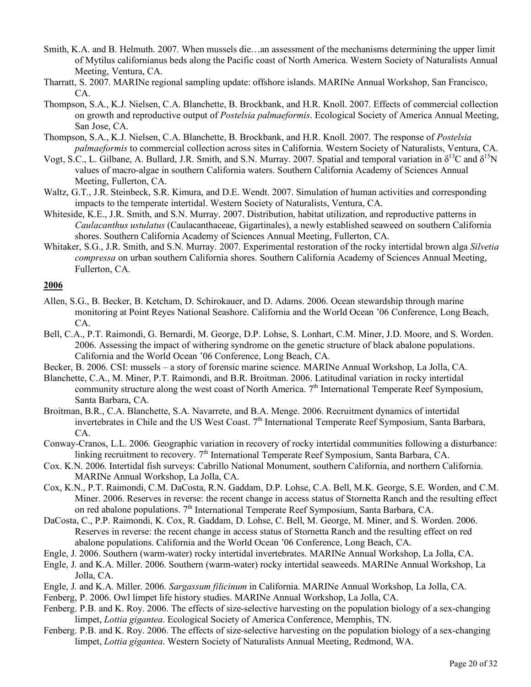- Smith, K.A. and B. Helmuth. 2007. When mussels die…an assessment of the mechanisms determining the upper limit of Mytilus californianus beds along the Pacific coast of North America. Western Society of Naturalists Annual Meeting, Ventura, CA.
- Tharratt, S. 2007. MARINe regional sampling update: offshore islands. MARINe Annual Workshop, San Francisco, CA.
- Thompson, S.A., K.J. Nielsen, C.A. Blanchette, B. Brockbank, and H.R. Knoll. 2007. Effects of commercial collection on growth and reproductive output of *Postelsia palmaeformis*. Ecological Society of America Annual Meeting, San Jose, CA.
- Thompson, S.A., K.J. Nielsen, C.A. Blanchette, B. Brockbank, and H.R. Knoll. 2007. The response of *Postelsia palmaeformis* to commercial collection across sites in California. Western Society of Naturalists, Ventura, CA.
- Vogt, S.C., L. Gilbane, A. Bullard, J.R. Smith, and S.N. Murray. 2007. Spatial and temporal variation in  $\delta^{13}C$  and  $\delta^{15}N$ values of macro-algae in southern California waters. Southern California Academy of Sciences Annual Meeting, Fullerton, CA.
- Waltz, G.T., J.R. Steinbeck, S.R. Kimura, and D.E. Wendt. 2007. Simulation of human activities and corresponding impacts to the temperate intertidal. Western Society of Naturalists, Ventura, CA.
- Whiteside, K.E., J.R. Smith, and S.N. Murray. 2007. Distribution, habitat utilization, and reproductive patterns in *Caulacanthus ustulatus* (Caulacanthaceae, Gigartinales), a newly established seaweed on southern California shores. Southern California Academy of Sciences Annual Meeting, Fullerton, CA.
- Whitaker, S.G., J.R. Smith, and S.N. Murray. 2007. Experimental restoration of the rocky intertidal brown alga *Silvetia compressa* on urban southern California shores. Southern California Academy of Sciences Annual Meeting, Fullerton, CA.

- Allen, S.G., B. Becker, B. Ketcham, D. Schirokauer, and D. Adams. 2006. Ocean stewardship through marine monitoring at Point Reyes National Seashore. California and the World Ocean '06 Conference, Long Beach, CA.
- Bell, C.A., P.T. Raimondi, G. Bernardi, M. George, D.P. Lohse, S. Lonhart, C.M. Miner, J.D. Moore, and S. Worden. 2006. Assessing the impact of withering syndrome on the genetic structure of black abalone populations. California and the World Ocean '06 Conference, Long Beach, CA.
- Becker, B. 2006. CSI: mussels a story of forensic marine science. MARINe Annual Workshop, La Jolla, CA.
- Blanchette, C.A., M. Miner, P.T. Raimondi, and B.R. Broitman. 2006. Latitudinal variation in rocky intertidal community structure along the west coast of North America.  $7<sup>th</sup>$  International Temperate Reef Symposium, Santa Barbara, CA.
- Broitman, B.R., C.A. Blanchette, S.A. Navarrete, and B.A. Menge. 2006. Recruitment dynamics of intertidal invertebrates in Chile and the US West Coast. 7<sup>th</sup> International Temperate Reef Symposium, Santa Barbara, CA.
- Conway-Cranos, L.L. 2006. Geographic variation in recovery of rocky intertidal communities following a disturbance: linking recruitment to recovery. 7<sup>th</sup> International Temperate Reef Symposium, Santa Barbara, CA.
- Cox. K.N. 2006. Intertidal fish surveys: Cabrillo National Monument, southern California, and northern California. MARINe Annual Workshop, La Jolla, CA.
- Cox, K.N., P.T. Raimondi, C.M. DaCosta, R.N. Gaddam, D.P. Lohse, C.A. Bell, M.K. George, S.E. Worden, and C.M. Miner. 2006. Reserves in reverse: the recent change in access status of Stornetta Ranch and the resulting effect on red abalone populations. 7<sup>th</sup> International Temperate Reef Symposium, Santa Barbara, CA.
- DaCosta, C., P.P. Raimondi, K. Cox, R. Gaddam, D. Lohse, C. Bell, M. George, M. Miner, and S. Worden. 2006. Reserves in reverse: the recent change in access status of Stornetta Ranch and the resulting effect on red abalone populations. California and the World Ocean '06 Conference, Long Beach, CA.
- Engle, J. 2006. Southern (warm-water) rocky intertidal invertebrates. MARINe Annual Workshop, La Jolla, CA.
- Engle, J. and K.A. Miller. 2006. Southern (warm-water) rocky intertidal seaweeds. MARINe Annual Workshop, La Jolla, CA.
- Engle, J. and K.A. Miller. 2006. *Sargassum filicinum* in California. MARINe Annual Workshop, La Jolla, CA.
- Fenberg, P. 2006. Owl limpet life history studies. MARINe Annual Workshop, La Jolla, CA.
- Fenberg. P.B. and K. Roy. 2006. The effects of size-selective harvesting on the population biology of a sex-changing limpet, *Lottia gigantea*. Ecological Society of America Conference, Memphis, TN.
- Fenberg. P.B. and K. Roy. 2006. The effects of size-selective harvesting on the population biology of a sex-changing limpet, *Lottia gigantea*. Western Society of Naturalists Annual Meeting, Redmond, WA.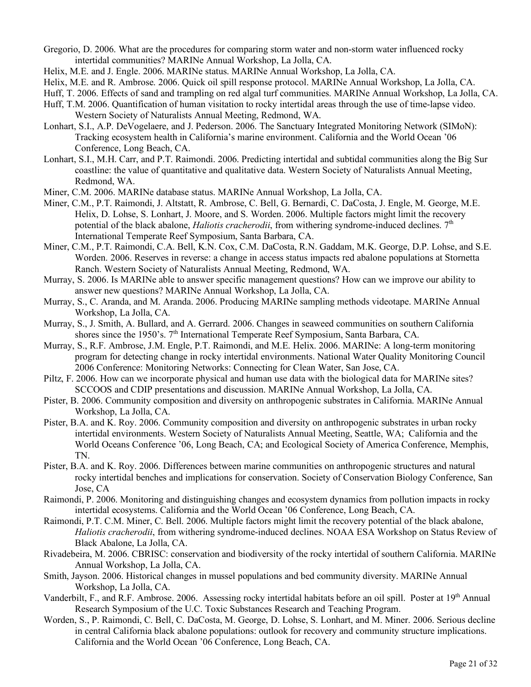- Gregorio, D. 2006. What are the procedures for comparing storm water and non-storm water influenced rocky intertidal communities? MARINe Annual Workshop, La Jolla, CA.
- Helix, M.E. and J. Engle. 2006. MARINe status. MARINe Annual Workshop, La Jolla, CA.
- Helix, M.E. and R. Ambrose. 2006. Quick oil spill response protocol. MARINe Annual Workshop, La Jolla, CA.
- Huff, T. 2006. Effects of sand and trampling on red algal turf communities. MARINe Annual Workshop, La Jolla, CA.
- Huff, T.M. 2006. Quantification of human visitation to rocky intertidal areas through the use of time-lapse video. Western Society of Naturalists Annual Meeting, Redmond, WA.
- Lonhart, S.I., A.P. DeVogelaere, and J. Pederson. 2006. The Sanctuary Integrated Monitoring Network (SIMoN): Tracking ecosystem health in California's marine environment. California and the World Ocean '06 Conference, Long Beach, CA.
- Lonhart, S.I., M.H. Carr, and P.T. Raimondi. 2006. Predicting intertidal and subtidal communities along the Big Sur coastline: the value of quantitative and qualitative data. Western Society of Naturalists Annual Meeting, Redmond, WA.
- Miner, C.M. 2006. MARINe database status. MARINe Annual Workshop, La Jolla, CA.
- Miner, C.M., P.T. Raimondi, J. Altstatt, R. Ambrose, C. Bell, G. Bernardi, C. DaCosta, J. Engle, M. George, M.E. Helix, D. Lohse, S. Lonhart, J. Moore, and S. Worden. 2006. Multiple factors might limit the recovery potential of the black abalone, *Haliotis cracherodii*, from withering syndrome-induced declines. 7<sup>th</sup> International Temperate Reef Symposium, Santa Barbara, CA.
- Miner, C.M., P.T. Raimondi, C.A. Bell, K.N. Cox, C.M. DaCosta, R.N. Gaddam, M.K. George, D.P. Lohse, and S.E. Worden. 2006. Reserves in reverse: a change in access status impacts red abalone populations at Stornetta Ranch. Western Society of Naturalists Annual Meeting, Redmond, WA.
- Murray, S. 2006. Is MARINe able to answer specific management questions? How can we improve our ability to answer new questions? MARINe Annual Workshop, La Jolla, CA.
- Murray, S., C. Aranda, and M. Aranda. 2006. Producing MARINe sampling methods videotape. MARINe Annual Workshop, La Jolla, CA.
- Murray, S., J. Smith, A. Bullard, and A. Gerrard. 2006. Changes in seaweed communities on southern California shores since the 1950's. 7<sup>th</sup> International Temperate Reef Symposium, Santa Barbara, CA.
- Murray, S., R.F. Ambrose, J.M. Engle, P.T. Raimondi, and M.E. Helix. 2006. MARINe: A long-term monitoring program for detecting change in rocky intertidal environments. National Water Quality Monitoring Council 2006 Conference: Monitoring Networks: Connecting for Clean Water, San Jose, CA.
- Piltz, F. 2006. How can we incorporate physical and human use data with the biological data for MARINe sites? SCCOOS and CDIP presentations and discussion. MARINe Annual Workshop, La Jolla, CA.
- Pister, B. 2006. Community composition and diversity on anthropogenic substrates in California. MARINe Annual Workshop, La Jolla, CA.
- Pister, B.A. and K. Roy. 2006. Community composition and diversity on anthropogenic substrates in urban rocky intertidal environments. Western Society of Naturalists Annual Meeting, Seattle, WA; California and the World Oceans Conference '06, Long Beach, CA; and Ecological Society of America Conference, Memphis, TN.
- Pister, B.A. and K. Roy. 2006. Differences between marine communities on anthropogenic structures and natural rocky intertidal benches and implications for conservation. Society of Conservation Biology Conference, San Jose, CA
- Raimondi, P. 2006. Monitoring and distinguishing changes and ecosystem dynamics from pollution impacts in rocky intertidal ecosystems. California and the World Ocean '06 Conference, Long Beach, CA.
- Raimondi, P.T. C.M. Miner, C. Bell. 2006. Multiple factors might limit the recovery potential of the black abalone, *Haliotis cracherodii*, from withering syndrome-induced declines. NOAA ESA Workshop on Status Review of Black Abalone, La Jolla, CA.
- Rivadebeira, M. 2006. CBRISC: conservation and biodiversity of the rocky intertidal of southern California. MARINe Annual Workshop, La Jolla, CA.
- Smith, Jayson. 2006. Historical changes in mussel populations and bed community diversity. MARINe Annual Workshop, La Jolla, CA.
- Vanderbilt, F., and R.F. Ambrose. 2006. Assessing rocky intertidal habitats before an oil spill. Poster at 19<sup>th</sup> Annual Research Symposium of the U.C. Toxic Substances Research and Teaching Program.
- Worden, S., P. Raimondi, C. Bell, C. DaCosta, M. George, D. Lohse, S. Lonhart, and M. Miner. 2006. Serious decline in central California black abalone populations: outlook for recovery and community structure implications. California and the World Ocean '06 Conference, Long Beach, CA.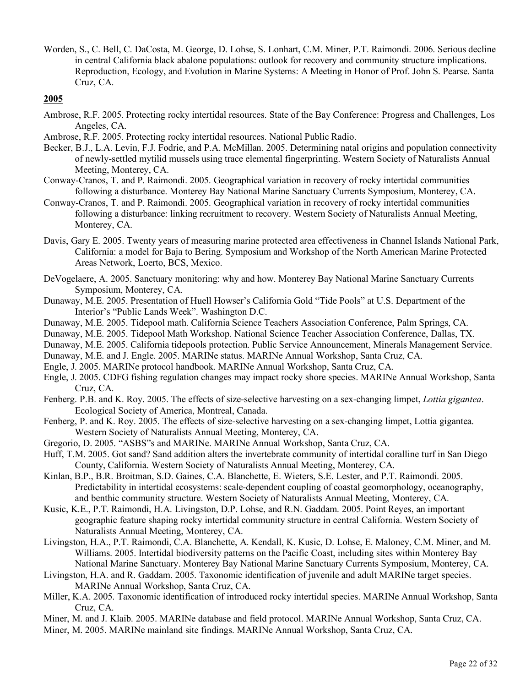Worden, S., C. Bell, C. DaCosta, M. George, D. Lohse, S. Lonhart, C.M. Miner, P.T. Raimondi. 2006. Serious decline in central California black abalone populations: outlook for recovery and community structure implications. Reproduction, Ecology, and Evolution in Marine Systems: A Meeting in Honor of Prof. John S. Pearse. Santa Cruz, CA.

- Ambrose, R.F. 2005. Protecting rocky intertidal resources. State of the Bay Conference: Progress and Challenges, Los Angeles, CA.
- Ambrose, R.F. 2005. Protecting rocky intertidal resources. National Public Radio.
- Becker, B.J., L.A. Levin, F.J. Fodrie, and P.A. McMillan. 2005. Determining natal origins and population connectivity of newly-settled mytilid mussels using trace elemental fingerprinting. Western Society of Naturalists Annual Meeting, Monterey, CA.
- Conway-Cranos, T. and P. Raimondi. 2005. Geographical variation in recovery of rocky intertidal communities following a disturbance. Monterey Bay National Marine Sanctuary Currents Symposium, Monterey, CA.
- Conway-Cranos, T. and P. Raimondi. 2005. Geographical variation in recovery of rocky intertidal communities following a disturbance: linking recruitment to recovery. Western Society of Naturalists Annual Meeting, Monterey, CA.
- Davis, Gary E. 2005. Twenty years of measuring marine protected area effectiveness in Channel Islands National Park, California: a model for Baja to Bering. Symposium and Workshop of the North American Marine Protected Areas Network, Loerto, BCS, Mexico.
- DeVogelaere, A. 2005. Sanctuary monitoring: why and how. Monterey Bay National Marine Sanctuary Currents Symposium, Monterey, CA.
- Dunaway, M.E. 2005. Presentation of Huell Howser's California Gold "Tide Pools" at U.S. Department of the Interior's "Public Lands Week". Washington D.C.
- Dunaway, M.E. 2005. Tidepool math. California Science Teachers Association Conference, Palm Springs, CA.
- Dunaway, M.E. 2005. Tidepool Math Workshop. National Science Teacher Association Conference, Dallas, TX.
- Dunaway, M.E. 2005. California tidepools protection. Public Service Announcement, Minerals Management Service.
- Dunaway, M.E. and J. Engle. 2005. MARINe status. MARINe Annual Workshop, Santa Cruz, CA.
- Engle, J. 2005. MARINe protocol handbook. MARINe Annual Workshop, Santa Cruz, CA.
- Engle, J. 2005. CDFG fishing regulation changes may impact rocky shore species. MARINe Annual Workshop, Santa Cruz, CA.
- Fenberg. P.B. and K. Roy. 2005. The effects of size-selective harvesting on a sex-changing limpet, *Lottia gigantea*. Ecological Society of America, Montreal, Canada.
- Fenberg, P. and K. Roy. 2005. The effects of size-selective harvesting on a sex-changing limpet, Lottia gigantea. Western Society of Naturalists Annual Meeting, Monterey, CA.
- Gregorio, D. 2005. "ASBS"s and MARINe. MARINe Annual Workshop, Santa Cruz, CA.
- Huff, T.M. 2005. Got sand? Sand addition alters the invertebrate community of intertidal coralline turf in San Diego County, California. Western Society of Naturalists Annual Meeting, Monterey, CA.
- Kinlan, B.P., B.R. Broitman, S.D. Gaines, C.A. Blanchette, E. Wieters, S.E. Lester, and P.T. Raimondi. 2005. Predictability in intertidal ecosystems: scale-dependent coupling of coastal geomorphology, oceanography, and benthic community structure. Western Society of Naturalists Annual Meeting, Monterey, CA.
- Kusic, K.E., P.T. Raimondi, H.A. Livingston, D.P. Lohse, and R.N. Gaddam. 2005. Point Reyes, an important geographic feature shaping rocky intertidal community structure in central California. Western Society of Naturalists Annual Meeting, Monterey, CA.
- Livingston, H.A., P.T. Raimondi, C.A. Blanchette, A. Kendall, K. Kusic, D. Lohse, E. Maloney, C.M. Miner, and M. Williams. 2005. Intertidal biodiversity patterns on the Pacific Coast, including sites within Monterey Bay National Marine Sanctuary. Monterey Bay National Marine Sanctuary Currents Symposium, Monterey, CA.
- Livingston, H.A. and R. Gaddam. 2005. Taxonomic identification of juvenile and adult MARINe target species. MARINe Annual Workshop, Santa Cruz, CA.
- Miller, K.A. 2005. Taxonomic identification of introduced rocky intertidal species. MARINe Annual Workshop, Santa Cruz, CA.
- Miner, M. and J. Klaib. 2005. MARINe database and field protocol. MARINe Annual Workshop, Santa Cruz, CA.
- Miner, M. 2005. MARINe mainland site findings. MARINe Annual Workshop, Santa Cruz, CA.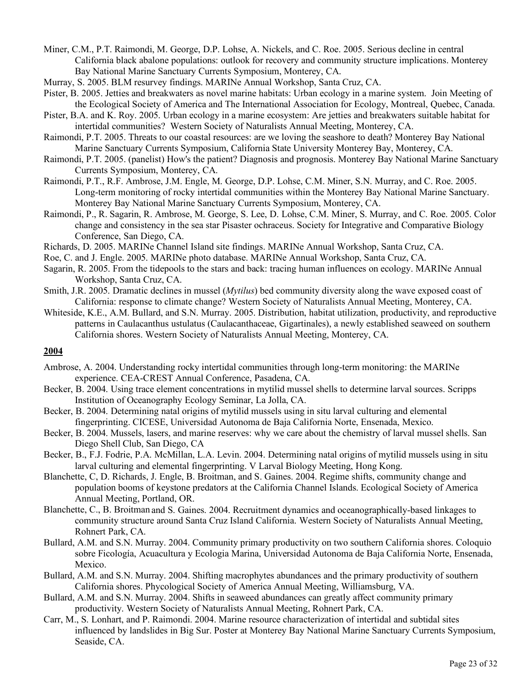Miner, C.M., P.T. Raimondi, M. George, D.P. Lohse, A. Nickels, and C. Roe. 2005. Serious decline in central California black abalone populations: outlook for recovery and community structure implications. Monterey Bay National Marine Sanctuary Currents Symposium, Monterey, CA.

Murray, S. 2005. BLM resurvey findings. MARINe Annual Workshop, Santa Cruz, CA.

Pister, B. 2005. Jetties and breakwaters as novel marine habitats: Urban ecology in a marine system. Join Meeting of the Ecological Society of America and The International Association for Ecology, Montreal, Quebec, Canada.

- Pister, B.A. and K. Roy. 2005. Urban ecology in a marine ecosystem: Are jetties and breakwaters suitable habitat for intertidal communities? Western Society of Naturalists Annual Meeting, Monterey, CA.
- Raimondi, P.T. 2005. Threats to our coastal resources: are we loving the seashore to death? Monterey Bay National Marine Sanctuary Currents Symposium, California State University Monterey Bay, Monterey, CA.
- Raimondi, P.T. 2005. (panelist) How's the patient? Diagnosis and prognosis. Monterey Bay National Marine Sanctuary Currents Symposium, Monterey, CA.
- Raimondi, P.T., R.F. Ambrose, J.M. Engle, M. George, D.P. Lohse, C.M. Miner, S.N. Murray, and C. Roe. 2005. Long-term monitoring of rocky intertidal communities within the Monterey Bay National Marine Sanctuary. Monterey Bay National Marine Sanctuary Currents Symposium, Monterey, CA.
- Raimondi, P., R. Sagarin, R. Ambrose, M. George, S. Lee, D. Lohse, C.M. Miner, S. Murray, and C. Roe. 2005. Color change and consistency in the sea star Pisaster ochraceus. Society for Integrative and Comparative Biology Conference, San Diego, CA.
- Richards, D. 2005. MARINe Channel Island site findings. MARINe Annual Workshop, Santa Cruz, CA.
- Roe, C. and J. Engle. 2005. MARINe photo database. MARINe Annual Workshop, Santa Cruz, CA.
- Sagarin, R. 2005. From the tidepools to the stars and back: tracing human influences on ecology. MARINe Annual Workshop, Santa Cruz, CA.
- Smith, J.R. 2005. Dramatic declines in mussel (*Mytilus*) bed community diversity along the wave exposed coast of California: response to climate change? Western Society of Naturalists Annual Meeting, Monterey, CA.
- Whiteside, K.E., A.M. Bullard, and S.N. Murray. 2005. Distribution, habitat utilization, productivity, and reproductive patterns in Caulacanthus ustulatus (Caulacanthaceae, Gigartinales), a newly established seaweed on southern California shores. Western Society of Naturalists Annual Meeting, Monterey, CA.

- Ambrose, A. 2004. Understanding rocky intertidal communities through long-term monitoring: the MARINe experience. CEA-CREST Annual Conference, Pasadena, CA.
- Becker, B. 2004. Using trace element concentrations in mytilid mussel shells to determine larval sources. Scripps Institution of Oceanography Ecology Seminar, La Jolla, CA.
- Becker, B. 2004. Determining natal origins of mytilid mussels using in situ larval culturing and elemental fingerprinting. CICESE, Universidad Autonoma de Baja California Norte, Ensenada, Mexico.
- Becker, B. 2004. Mussels, lasers, and marine reserves: why we care about the chemistry of larval mussel shells. San Diego Shell Club, San Diego, CA
- Becker, B., F.J. Fodrie, P.A. McMillan, L.A. Levin. 2004. Determining natal origins of mytilid mussels using in situ larval culturing and elemental fingerprinting. V Larval Biology Meeting, Hong Kong.
- Blanchette, C, D. Richards, J. Engle, B. Broitman, and S. Gaines. 2004. Regime shifts, community change and population booms of keystone predators at the California Channel Islands. Ecological Society of America Annual Meeting, Portland, OR.
- Blanchette, C., B. Broitman and S. Gaines. 2004. Recruitment dynamics and oceanographically-based linkages to community structure around Santa Cruz Island California. Western Society of Naturalists Annual Meeting, Rohnert Park, CA.
- Bullard, A.M. and S.N. Murray. 2004. Community primary productivity on two southern California shores. Coloquio sobre Ficología, Acuacultura y Ecologia Marina, Universidad Autonoma de Baja California Norte, Ensenada, Mexico.
- Bullard, A.M. and S.N. Murray. 2004. Shifting macrophytes abundances and the primary productivity of southern California shores. Phycological Society of America Annual Meeting, Williamsburg, VA.
- Bullard, A.M. and S.N. Murray. 2004. Shifts in seaweed abundances can greatly affect community primary productivity. Western Society of Naturalists Annual Meeting, Rohnert Park, CA.
- Carr, M., S. Lonhart, and P. Raimondi. 2004. Marine resource characterization of intertidal and subtidal sites influenced by landslides in Big Sur. Poster at Monterey Bay National Marine Sanctuary Currents Symposium, Seaside, CA.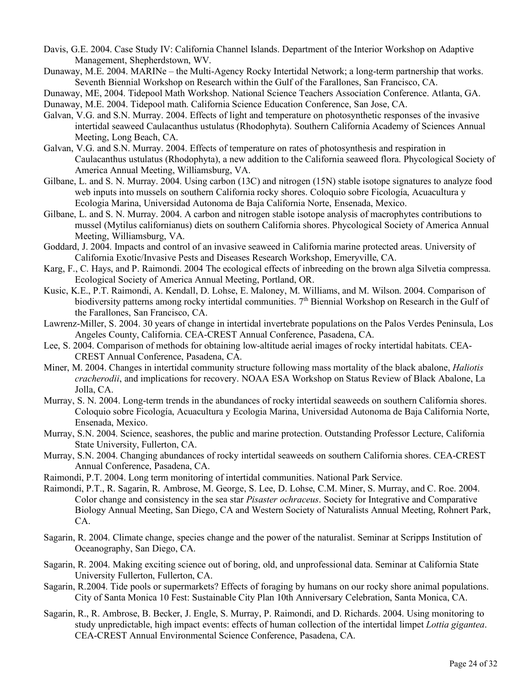- Davis, G.E. 2004. Case Study IV: California Channel Islands. Department of the Interior Workshop on Adaptive Management, Shepherdstown, WV.
- Dunaway, M.E. 2004. MARINe the Multi-Agency Rocky Intertidal Network; a long-term partnership that works. Seventh Biennial Workshop on Research within the Gulf of the Farallones, San Francisco, CA.
- Dunaway, ME, 2004. Tidepool Math Workshop. National Science Teachers Association Conference. Atlanta, GA.

Dunaway, M.E. 2004. Tidepool math. California Science Education Conference, San Jose, CA.

- Galvan, V.G. and S.N. Murray. 2004. Effects of light and temperature on photosynthetic responses of the invasive intertidal seaweed Caulacanthus ustulatus (Rhodophyta). Southern California Academy of Sciences Annual Meeting, Long Beach, CA.
- Galvan, V.G. and S.N. Murray. 2004. Effects of temperature on rates of photosynthesis and respiration in Caulacanthus ustulatus (Rhodophyta), a new addition to the California seaweed flora. Phycological Society of America Annual Meeting, Williamsburg, VA.
- Gilbane, L. and S. N. Murray. 2004. Using carbon (13C) and nitrogen (15N) stable isotope signatures to analyze food web inputs into mussels on southern California rocky shores. Coloquio sobre Ficología, Acuacultura y Ecologia Marina, Universidad Autonoma de Baja California Norte, Ensenada, Mexico.
- Gilbane, L. and S. N. Murray. 2004. A carbon and nitrogen stable isotope analysis of macrophytes contributions to mussel (Mytilus californianus) diets on southern California shores. Phycological Society of America Annual Meeting, Williamsburg, VA.
- Goddard, J. 2004. Impacts and control of an invasive seaweed in California marine protected areas. University of California Exotic/Invasive Pests and Diseases Research Workshop, Emeryville, CA.
- Karg, F., C. Hays, and P. Raimondi. 2004 The ecological effects of inbreeding on the brown alga Silvetia compressa. Ecological Society of America Annual Meeting, Portland, OR.
- Kusic, K.E., P.T. Raimondi, A. Kendall, D. Lohse, E. Maloney, M. Williams, and M. Wilson. 2004. Comparison of biodiversity patterns among rocky intertidal communities.  $7<sup>th</sup>$  Biennial Workshop on Research in the Gulf of the Farallones, San Francisco, CA.
- Lawrenz-Miller, S. 2004. 30 years of change in intertidal invertebrate populations on the Palos Verdes Peninsula, Los Angeles County, California. CEA-CREST Annual Conference, Pasadena, CA.
- Lee, S. 2004. Comparison of methods for obtaining low-altitude aerial images of rocky intertidal habitats. CEA-CREST Annual Conference, Pasadena, CA.
- Miner, M. 2004. Changes in intertidal community structure following mass mortality of the black abalone, *Haliotis cracherodii*, and implications for recovery. NOAA ESA Workshop on Status Review of Black Abalone, La Jolla, CA.
- Murray, S. N. 2004. Long-term trends in the abundances of rocky intertidal seaweeds on southern California shores. Coloquio sobre Ficología, Acuacultura y Ecologia Marina, Universidad Autonoma de Baja California Norte, Ensenada, Mexico.
- Murray, S.N. 2004. Science, seashores, the public and marine protection. Outstanding Professor Lecture, California State University, Fullerton, CA.
- Murray, S.N. 2004. Changing abundances of rocky intertidal seaweeds on southern California shores. CEA-CREST Annual Conference, Pasadena, CA.
- Raimondi, P.T. 2004. Long term monitoring of intertidal communities. National Park Service.
- Raimondi, P.T., R. Sagarin, R. Ambrose, M. George, S. Lee, D. Lohse, C.M. Miner, S. Murray, and C. Roe. 2004. Color change and consistency in the sea star *Pisaster ochraceus*. Society for Integrative and Comparative Biology Annual Meeting, San Diego, CA and Western Society of Naturalists Annual Meeting, Rohnert Park, CA.
- Sagarin, R. 2004. Climate change, species change and the power of the naturalist. Seminar at Scripps Institution of Oceanography, San Diego, CA.
- Sagarin, R. 2004. Making exciting science out of boring, old, and unprofessional data. Seminar at California State University Fullerton, Fullerton, CA.
- Sagarin, R.2004. Tide pools or supermarkets? Effects of foraging by humans on our rocky shore animal populations. City of Santa Monica 10 Fest: Sustainable City Plan 10th Anniversary Celebration, Santa Monica, CA.
- Sagarin, R., R. Ambrose, B. Becker, J. Engle, S. Murray, P. Raimondi, and D. Richards. 2004. Using monitoring to study unpredictable, high impact events: effects of human collection of the intertidal limpet *Lottia gigantea*. CEA-CREST Annual Environmental Science Conference, Pasadena, CA.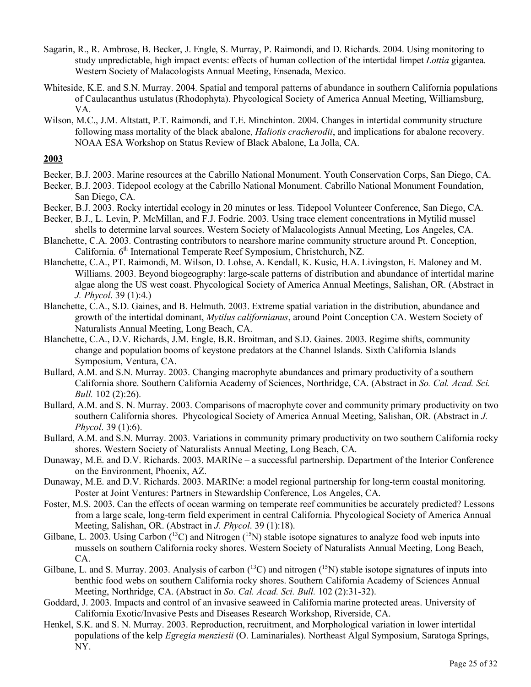- Sagarin, R., R. Ambrose, B. Becker, J. Engle, S. Murray, P. Raimondi, and D. Richards. 2004. Using monitoring to study unpredictable, high impact events: effects of human collection of the intertidal limpet *Lottia* gigantea. Western Society of Malacologists Annual Meeting, Ensenada, Mexico.
- Whiteside, K.E. and S.N. Murray. 2004. Spatial and temporal patterns of abundance in southern California populations of Caulacanthus ustulatus (Rhodophyta). Phycological Society of America Annual Meeting, Williamsburg, VA.
- Wilson, M.C., J.M. Altstatt, P.T. Raimondi, and T.E. Minchinton. 2004. Changes in intertidal community structure following mass mortality of the black abalone, *Haliotis cracherodii*, and implications for abalone recovery. NOAA ESA Workshop on Status Review of Black Abalone, La Jolla, CA.

- Becker, B.J. 2003. Marine resources at the Cabrillo National Monument. Youth Conservation Corps, San Diego, CA.
- Becker, B.J. 2003. Tidepool ecology at the Cabrillo National Monument. Cabrillo National Monument Foundation, San Diego, CA.
- Becker, B.J. 2003. Rocky intertidal ecology in 20 minutes or less. Tidepool Volunteer Conference, San Diego, CA.
- Becker, B.J., L. Levin, P. McMillan, and F.J. Fodrie. 2003. Using trace element concentrations in Mytilid mussel shells to determine larval sources. Western Society of Malacologists Annual Meeting, Los Angeles, CA.
- Blanchette, C.A. 2003. Contrasting contributors to nearshore marine community structure around Pt. Conception, California. 6<sup>th</sup> International Temperate Reef Symposium, Christchurch, NZ.
- Blanchette, C.A., PT. Raimondi, M. Wilson, D. Lohse, A. Kendall, K. Kusic, H.A. Livingston, E. Maloney and M. Williams. 2003. Beyond biogeography: large-scale patterns of distribution and abundance of intertidal marine algae along the US west coast. Phycological Society of America Annual Meetings, Salishan, OR. (Abstract in *J. Phycol*. 39 (1):4.)
- Blanchette, C.A., S.D. Gaines, and B. Helmuth. 2003. Extreme spatial variation in the distribution, abundance and growth of the intertidal dominant, *Mytilus californianus*, around Point Conception CA. Western Society of Naturalists Annual Meeting, Long Beach, CA.
- Blanchette, C.A., D.V. Richards, J.M. Engle, B.R. Broitman, and S.D. Gaines. 2003. Regime shifts, community change and population booms of keystone predators at the Channel Islands. Sixth California Islands Symposium, Ventura, CA.
- Bullard, A.M. and S.N. Murray. 2003. Changing macrophyte abundances and primary productivity of a southern California shore. Southern California Academy of Sciences, Northridge, CA. (Abstract in *So. Cal. Acad. Sci. Bull.* 102 (2):26).
- Bullard, A.M. and S. N. Murray. 2003. Comparisons of macrophyte cover and community primary productivity on two southern California shores. Phycological Society of America Annual Meeting, Salishan, OR. (Abstract in *J. Phycol*. 39 (1):6).
- Bullard, A.M. and S.N. Murray. 2003. Variations in community primary productivity on two southern California rocky shores. Western Society of Naturalists Annual Meeting, Long Beach, CA.
- Dunaway, M.E. and D.V. Richards. 2003. MARINe a successful partnership. Department of the Interior Conference on the Environment, Phoenix, AZ.
- Dunaway, M.E. and D.V. Richards. 2003. MARINe: a model regional partnership for long-term coastal monitoring. Poster at Joint Ventures: Partners in Stewardship Conference, Los Angeles, CA.
- Foster, M.S. 2003. Can the effects of ocean warming on temperate reef communities be accurately predicted? Lessons from a large scale, long-term field experiment in central California. Phycological Society of America Annual Meeting, Salishan, OR. (Abstract in *J. Phycol*. 39 (1):18).
- Gilbane, L. 2003. Using Carbon  $(^{13}C)$  and Nitrogen  $(^{15}N)$  stable isotope signatures to analyze food web inputs into mussels on southern California rocky shores. Western Society of Naturalists Annual Meeting, Long Beach, CA.
- Gilbane, L. and S. Murray. 2003. Analysis of carbon  $(^{13}C)$  and nitrogen  $(^{15}N)$  stable isotope signatures of inputs into benthic food webs on southern California rocky shores. Southern California Academy of Sciences Annual Meeting, Northridge, CA. (Abstract in *So. Cal. Acad. Sci. Bull.* 102 (2):31-32).
- Goddard, J. 2003. Impacts and control of an invasive seaweed in California marine protected areas. University of California Exotic/Invasive Pests and Diseases Research Workshop, Riverside, CA.
- Henkel, S.K. and S. N. Murray. 2003. Reproduction, recruitment, and Morphological variation in lower intertidal populations of the kelp *Egregia menziesii* (O. Laminariales). Northeast Algal Symposium, Saratoga Springs, NY.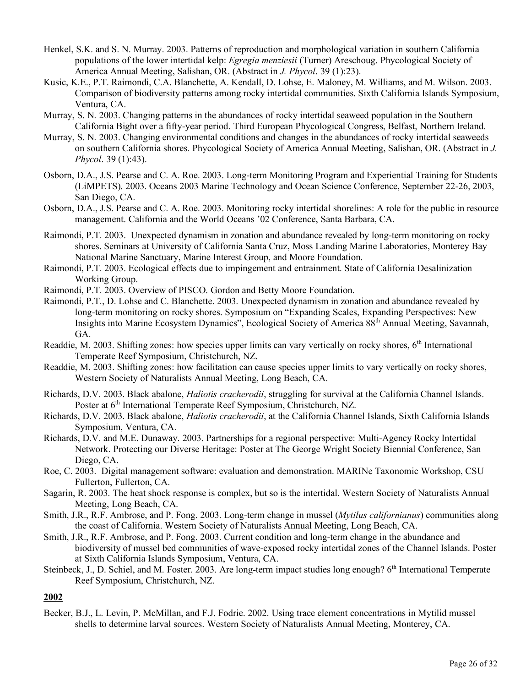- Henkel, S.K. and S. N. Murray. 2003. Patterns of reproduction and morphological variation in southern California populations of the lower intertidal kelp: *Egregia menziesii* (Turner) Areschoug. Phycological Society of America Annual Meeting, Salishan, OR. (Abstract in *J. Phycol*. 39 (1):23).
- Kusic, K.E., P.T. Raimondi, C.A. Blanchette, A. Kendall, D. Lohse, E. Maloney, M. Williams, and M. Wilson. 2003. Comparison of biodiversity patterns among rocky intertidal communities. Sixth California Islands Symposium, Ventura, CA.
- Murray, S. N. 2003. Changing patterns in the abundances of rocky intertidal seaweed population in the Southern California Bight over a fifty-year period. Third European Phycological Congress, Belfast, Northern Ireland.
- Murray, S. N. 2003. Changing environmental conditions and changes in the abundances of rocky intertidal seaweeds on southern California shores. Phycological Society of America Annual Meeting, Salishan, OR. (Abstract in *J. Phycol*. 39 (1):43).
- Osborn, D.A., J.S. Pearse and C. A. Roe. 2003. Long-term Monitoring Program and Experiential Training for Students (LiMPETS). 2003. Oceans 2003 Marine Technology and Ocean Science Conference, September 22-26, 2003, San Diego, CA.
- Osborn, D.A., J.S. Pearse and C. A. Roe. 2003. Monitoring rocky intertidal shorelines: A role for the public in resource management. California and the World Oceans '02 Conference, Santa Barbara, CA.
- Raimondi, P.T. 2003. Unexpected dynamism in zonation and abundance revealed by long-term monitoring on rocky shores. Seminars at University of California Santa Cruz, Moss Landing Marine Laboratories, Monterey Bay National Marine Sanctuary, Marine Interest Group, and Moore Foundation.
- Raimondi, P.T. 2003. Ecological effects due to impingement and entrainment. State of California Desalinization Working Group.
- Raimondi, P.T. 2003. Overview of PISCO. Gordon and Betty Moore Foundation.
- Raimondi, P.T., D. Lohse and C. Blanchette. 2003. Unexpected dynamism in zonation and abundance revealed by long-term monitoring on rocky shores. Symposium on "Expanding Scales, Expanding Perspectives: New Insights into Marine Ecosystem Dynamics", Ecological Society of America 88th Annual Meeting, Savannah, GA.
- Readdie, M. 2003. Shifting zones: how species upper limits can vary vertically on rocky shores, 6<sup>th</sup> International Temperate Reef Symposium, Christchurch, NZ.
- Readdie, M. 2003. Shifting zones: how facilitation can cause species upper limits to vary vertically on rocky shores, Western Society of Naturalists Annual Meeting, Long Beach, CA.
- Richards, D.V. 2003. Black abalone, *Haliotis cracherodii*, struggling for survival at the California Channel Islands. Poster at 6<sup>th</sup> International Temperate Reef Symposium, Christchurch, NZ.
- Richards, D.V. 2003. Black abalone, *Haliotis cracherodii*, at the California Channel Islands, Sixth California Islands Symposium, Ventura, CA.
- Richards, D.V. and M.E. Dunaway. 2003. Partnerships for a regional perspective: Multi-Agency Rocky Intertidal Network. Protecting our Diverse Heritage: Poster at The George Wright Society Biennial Conference, San Diego, CA.
- Roe, C. 2003. Digital management software: evaluation and demonstration. MARINe Taxonomic Workshop, CSU Fullerton, Fullerton, CA.
- Sagarin, R. 2003. The heat shock response is complex, but so is the intertidal. Western Society of Naturalists Annual Meeting, Long Beach, CA.
- Smith, J.R., R.F. Ambrose, and P. Fong. 2003. Long-term change in mussel (*Mytilus californianus*) communities along the coast of California. Western Society of Naturalists Annual Meeting, Long Beach, CA.
- Smith, J.R., R.F. Ambrose, and P. Fong. 2003. Current condition and long-term change in the abundance and biodiversity of mussel bed communities of wave-exposed rocky intertidal zones of the Channel Islands. Poster at Sixth California Islands Symposium, Ventura, CA.
- Steinbeck, J., D. Schiel, and M. Foster. 2003. Are long-term impact studies long enough? 6<sup>th</sup> International Temperate Reef Symposium, Christchurch, NZ.

Becker, B.J., L. Levin, P. McMillan, and F.J. Fodrie. 2002. Using trace element concentrations in Mytilid mussel shells to determine larval sources. Western Society of Naturalists Annual Meeting, Monterey, CA.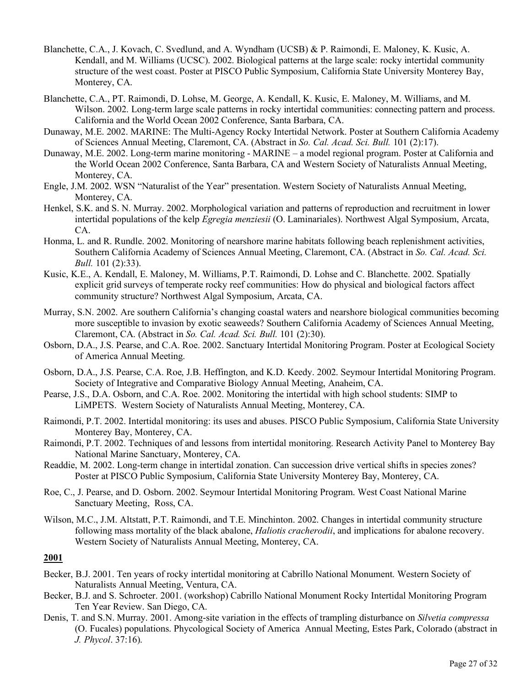- Blanchette, C.A., J. Kovach, C. Svedlund, and A. Wyndham (UCSB) & P. Raimondi, E. Maloney, K. Kusic, A. Kendall, and M. Williams (UCSC). 2002. Biological patterns at the large scale: rocky intertidal community structure of the west coast. Poster at PISCO Public Symposium, California State University Monterey Bay, Monterey, CA.
- Blanchette, C.A., PT. Raimondi, D. Lohse, M. George, A. Kendall, K. Kusic, E. Maloney, M. Williams, and M. Wilson. 2002. Long-term large scale patterns in rocky intertidal communities: connecting pattern and process. California and the World Ocean 2002 Conference, Santa Barbara, CA.
- Dunaway, M.E. 2002. MARINE: The Multi-Agency Rocky Intertidal Network. Poster at Southern California Academy of Sciences Annual Meeting, Claremont, CA. (Abstract in *So. Cal. Acad. Sci. Bull.* 101 (2):17).
- Dunaway, M.E. 2002. Long-term marine monitoring MARINE a model regional program. Poster at California and the World Ocean 2002 Conference, Santa Barbara, CA and Western Society of Naturalists Annual Meeting, Monterey, CA.
- Engle, J.M. 2002. WSN "Naturalist of the Year" presentation. Western Society of Naturalists Annual Meeting, Monterey, CA.
- Henkel, S.K. and S. N. Murray. 2002. Morphological variation and patterns of reproduction and recruitment in lower intertidal populations of the kelp *Egregia menziesii* (O. Laminariales). Northwest Algal Symposium, Arcata, CA.
- Honma, L. and R. Rundle. 2002. Monitoring of nearshore marine habitats following beach replenishment activities, Southern California Academy of Sciences Annual Meeting, Claremont, CA. (Abstract in *So. Cal. Acad. Sci. Bull.* 101 (2):33).
- Kusic, K.E., A. Kendall, E. Maloney, M. Williams, P.T. Raimondi, D. Lohse and C. Blanchette. 2002. Spatially explicit grid surveys of temperate rocky reef communities: How do physical and biological factors affect community structure? Northwest Algal Symposium, Arcata, CA.
- Murray, S.N. 2002. Are southern California's changing coastal waters and nearshore biological communities becoming more susceptible to invasion by exotic seaweeds? Southern California Academy of Sciences Annual Meeting, Claremont, CA. (Abstract in *So. Cal. Acad. Sci. Bull.* 101 (2):30).
- Osborn, D.A., J.S. Pearse, and C.A. Roe. 2002. Sanctuary Intertidal Monitoring Program. Poster at Ecological Society of America Annual Meeting.
- Osborn, D.A., J.S. Pearse, C.A. Roe, J.B. Heffington, and K.D. Keedy. 2002. Seymour Intertidal Monitoring Program. Society of Integrative and Comparative Biology Annual Meeting, Anaheim, CA.
- Pearse, J.S., D.A. Osborn, and C.A. Roe. 2002. Monitoring the intertidal with high school students: SIMP to LiMPETS. Western Society of Naturalists Annual Meeting, Monterey, CA.
- Raimondi, P.T. 2002. Intertidal monitoring: its uses and abuses. PISCO Public Symposium, California State University Monterey Bay, Monterey, CA.
- Raimondi, P.T. 2002. Techniques of and lessons from intertidal monitoring. Research Activity Panel to Monterey Bay National Marine Sanctuary, Monterey, CA.
- Readdie, M. 2002. Long-term change in intertidal zonation. Can succession drive vertical shifts in species zones? Poster at PISCO Public Symposium, California State University Monterey Bay, Monterey, CA.
- Roe, C., J. Pearse, and D. Osborn. 2002. Seymour Intertidal Monitoring Program. West Coast National Marine Sanctuary Meeting, Ross, CA.
- Wilson, M.C., J.M. Altstatt, P.T. Raimondi, and T.E. Minchinton. 2002. Changes in intertidal community structure following mass mortality of the black abalone, *Haliotis cracherodii*, and implications for abalone recovery. Western Society of Naturalists Annual Meeting, Monterey, CA.

- Becker, B.J. 2001. Ten years of rocky intertidal monitoring at Cabrillo National Monument. Western Society of Naturalists Annual Meeting, Ventura, CA.
- Becker, B.J. and S. Schroeter. 2001. (workshop) Cabrillo National Monument Rocky Intertidal Monitoring Program Ten Year Review. San Diego, CA.
- Denis, T. and S.N. Murray. 2001. Among-site variation in the effects of trampling disturbance on *Silvetia compressa* (O. Fucales) populations. Phycological Society of America Annual Meeting, Estes Park, Colorado (abstract in *J. Phycol*. 37:16).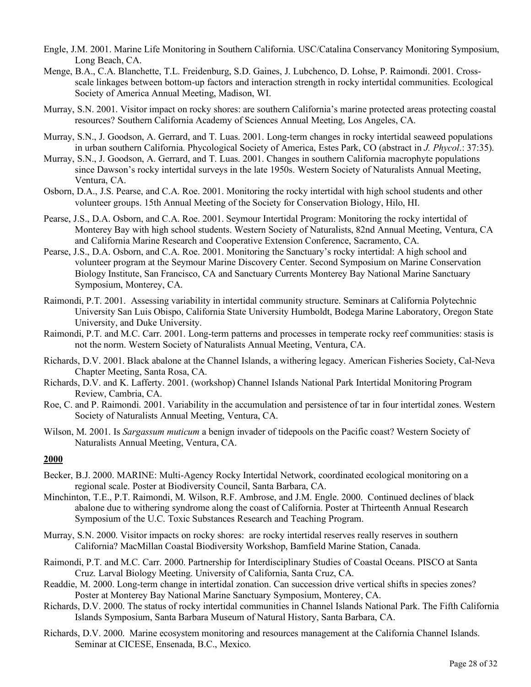- Engle, J.M. 2001. Marine Life Monitoring in Southern California. USC/Catalina Conservancy Monitoring Symposium, Long Beach, CA.
- Menge, B.A., C.A. Blanchette, T.L. Freidenburg, S.D. Gaines, J. Lubchenco, D. Lohse, P. Raimondi. 2001. Crossscale linkages between bottom-up factors and interaction strength in rocky intertidal communities. Ecological Society of America Annual Meeting, Madison, WI.
- Murray, S.N. 2001. Visitor impact on rocky shores: are southern California's marine protected areas protecting coastal resources? Southern California Academy of Sciences Annual Meeting, Los Angeles, CA.
- Murray, S.N., J. Goodson, A. Gerrard, and T. Luas. 2001. Long-term changes in rocky intertidal seaweed populations in urban southern California. Phycological Society of America, Estes Park, CO (abstract in *J. Phycol*.: 37:35).
- Murray, S.N., J. Goodson, A. Gerrard, and T. Luas. 2001. Changes in southern California macrophyte populations since Dawson's rocky intertidal surveys in the late 1950s. Western Society of Naturalists Annual Meeting, Ventura, CA.
- Osborn, D.A., J.S. Pearse, and C.A. Roe. 2001. Monitoring the rocky intertidal with high school students and other volunteer groups. 15th Annual Meeting of the Society for Conservation Biology, Hilo, HI.
- Pearse, J.S., D.A. Osborn, and C.A. Roe. 2001. Seymour Intertidal Program: Monitoring the rocky intertidal of Monterey Bay with high school students. Western Society of Naturalists, 82nd Annual Meeting, Ventura, CA and California Marine Research and Cooperative Extension Conference, Sacramento, CA.
- Pearse, J.S., D.A. Osborn, and C.A. Roe. 2001. Monitoring the Sanctuary's rocky intertidal: A high school and volunteer program at the Seymour Marine Discovery Center. Second Symposium on Marine Conservation Biology Institute, San Francisco, CA and Sanctuary Currents Monterey Bay National Marine Sanctuary Symposium, Monterey, CA.
- Raimondi, P.T. 2001. Assessing variability in intertidal community structure. Seminars at California Polytechnic University San Luis Obispo, California State University Humboldt, Bodega Marine Laboratory, Oregon State University, and Duke University.
- Raimondi, P.T. and M.C. Carr. 2001. Long-term patterns and processes in temperate rocky reef communities: stasis is not the norm. Western Society of Naturalists Annual Meeting, Ventura, CA.
- Richards, D.V. 2001. Black abalone at the Channel Islands, a withering legacy. American Fisheries Society, Cal-Neva Chapter Meeting, Santa Rosa, CA.
- Richards, D.V. and K. Lafferty. 2001. (workshop) Channel Islands National Park Intertidal Monitoring Program Review, Cambria, CA.
- Roe, C. and P. Raimondi. 2001. Variability in the accumulation and persistence of tar in four intertidal zones. Western Society of Naturalists Annual Meeting, Ventura, CA.
- Wilson, M. 2001. Is *Sargassum muticum* a benign invader of tidepools on the Pacific coast? Western Society of Naturalists Annual Meeting, Ventura, CA.

- Becker, B.J. 2000. MARINE: Multi-Agency Rocky Intertidal Network, coordinated ecological monitoring on a regional scale. Poster at Biodiversity Council, Santa Barbara, CA.
- Minchinton, T.E., P.T. Raimondi, M. Wilson, R.F. Ambrose, and J.M. Engle. 2000. Continued declines of black abalone due to withering syndrome along the coast of California. Poster at Thirteenth Annual Research Symposium of the U.C. Toxic Substances Research and Teaching Program.
- Murray, S.N. 2000. Visitor impacts on rocky shores: are rocky intertidal reserves really reserves in southern California? MacMillan Coastal Biodiversity Workshop, Bamfield Marine Station, Canada.
- Raimondi, P.T. and M.C. Carr. 2000. Partnership for Interdisciplinary Studies of Coastal Oceans. PISCO at Santa Cruz. Larval Biology Meeting. University of California, Santa Cruz, CA.
- Readdie, M. 2000. Long-term change in intertidal zonation. Can succession drive vertical shifts in species zones? Poster at Monterey Bay National Marine Sanctuary Symposium, Monterey, CA.
- Richards, D.V. 2000. The status of rocky intertidal communities in Channel Islands National Park. The Fifth California Islands Symposium, Santa Barbara Museum of Natural History, Santa Barbara, CA.
- Richards, D.V. 2000. Marine ecosystem monitoring and resources management at the California Channel Islands. Seminar at CICESE, Ensenada, B.C., Mexico.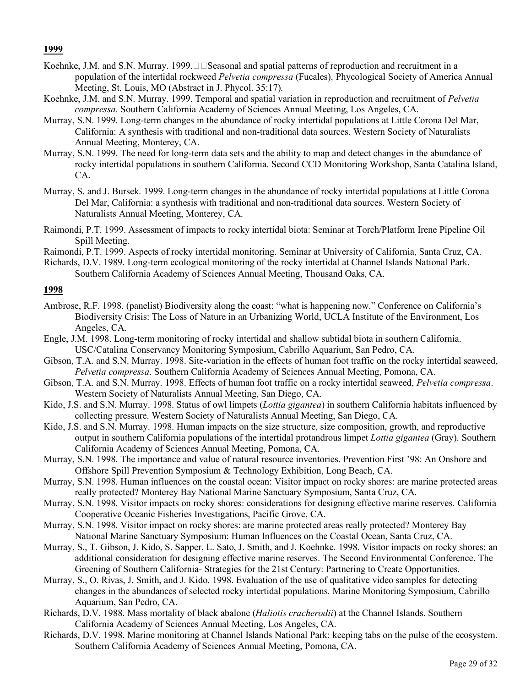- Koehnke, J.M. and S.N. Murray. 1999. $\square \square$ Seasonal and spatial patterns of reproduction and recruitment in a population of the intertidal rockweed *Pelvetia compressa* (Fucales). Phycological Society of America Annual Meeting, St. Louis, MO (Abstract in J. Phycol. 35:17).
- Koehnke, J.M. and S.N. Murray. 1999. Temporal and spatial variation in reproduction and recruitment of *Pelvetia compressa*. Southern California Academy of Sciences Annual Meeting, Los Angeles, CA.
- Murray, S.N. 1999. Long-term changes in the abundance of rocky intertidal populations at Little Corona Del Mar, California: A synthesis with traditional and non-traditional data sources. Western Society of Naturalists Annual Meeting, Monterey, CA.
- Murray, S.N. 1999. The need for long-term data sets and the ability to map and detect changes in the abundance of rocky intertidal populations in southern California. Second CCD Monitoring Workshop, Santa Catalina Island, CA**.**
- Murray, S. and J. Bursek. 1999. Long-term changes in the abundance of rocky intertidal populations at Little Corona Del Mar, California: a synthesis with traditional and non-traditional data sources. Western Society of Naturalists Annual Meeting, Monterey, CA.
- Raimondi, P.T. 1999. Assessment of impacts to rocky intertidal biota: Seminar at Torch/Platform Irene Pipeline Oil Spill Meeting.
- Raimondi, P.T. 1999. Aspects of rocky intertidal monitoring. Seminar at University of California, Santa Cruz, CA.
- Richards, D.V. 1989. Long-term ecological monitoring of the rocky intertidal at Channel Islands National Park. Southern California Academy of Sciences Annual Meeting, Thousand Oaks, CA.

- Ambrose, R.F. 1998. (panelist) Biodiversity along the coast: "what is happening now." Conference on California's Biodiversity Crisis: The Loss of Nature in an Urbanizing World, UCLA Institute of the Environment, Los Angeles, CA.
- Engle, J.M. 1998. Long-term monitoring of rocky intertidal and shallow subtidal biota in southern California. USC/Catalina Conservancy Monitoring Symposium, Cabrillo Aquarium, San Pedro, CA.
- Gibson, T.A. and S.N. Murray. 1998. Site-variation in the effects of human foot traffic on the rocky intertidal seaweed, *Pelvetia compressa*. Southern California Academy of Sciences Annual Meeting, Pomona, CA.
- Gibson, T.A. and S.N. Murray. 1998. Effects of human foot traffic on a rocky intertidal seaweed, *Pelvetia compressa*. Western Society of Naturalists Annual Meeting, San Diego, CA.
- Kido, J.S. and S.N. Murray. 1998. Status of owl limpets (*Lottia gigantea*) in southern California habitats influenced by collecting pressure. Western Society of Naturalists Annual Meeting, San Diego, CA.
- Kido, J.S. and S.N. Murray. 1998. Human impacts on the size structure, size composition, growth, and reproductive output in southern California populations of the intertidal protandrous limpet *Lottia gigantea* (Gray). Southern California Academy of Sciences Annual Meeting, Pomona, CA.
- Murray, S.N. 1998. The importance and value of natural resource inventories. Prevention First '98: An Onshore and Offshore Spill Prevention Symposium & Technology Exhibition, Long Beach, CA.
- Murray, S.N. 1998. Human influences on the coastal ocean: Visitor impact on rocky shores: are marine protected areas really protected? Monterey Bay National Marine Sanctuary Symposium, Santa Cruz, CA.
- Murray, S.N. 1998. Visitor impacts on rocky shores: considerations for designing effective marine reserves. California Cooperative Oceanic Fisheries Investigations, Pacific Grove, CA.
- Murray, S.N. 1998. Visitor impact on rocky shores: are marine protected areas really protected? Monterey Bay National Marine Sanctuary Symposium: Human Influences on the Coastal Ocean, Santa Cruz, CA.
- Murray, S., T. Gibson, J. Kido, S. Sapper, L. Sato, J. Smith, and J. Koehnke. 1998. Visitor impacts on rocky shores: an additional consideration for designing effective marine reserves. The Second Environmental Conference. The Greening of Southern California- Strategies for the 21st Century: Partnering to Create Opportunities.
- Murray, S., O. Rivas, J. Smith, and J. Kido. 1998. Evaluation of the use of qualitative video samples for detecting changes in the abundances of selected rocky intertidal populations. Marine Monitoring Symposium, Cabrillo Aquarium, San Pedro, CA.
- Richards, D.V. 1988. Mass mortality of black abalone (*Haliotis cracherodii*) at the Channel Islands. Southern California Academy of Sciences Annual Meeting, Los Angeles, CA.
- Richards, D.V. 1998. Marine monitoring at Channel Islands National Park: keeping tabs on the pulse of the ecosystem. Southern California Academy of Sciences Annual Meeting, Pomona, CA.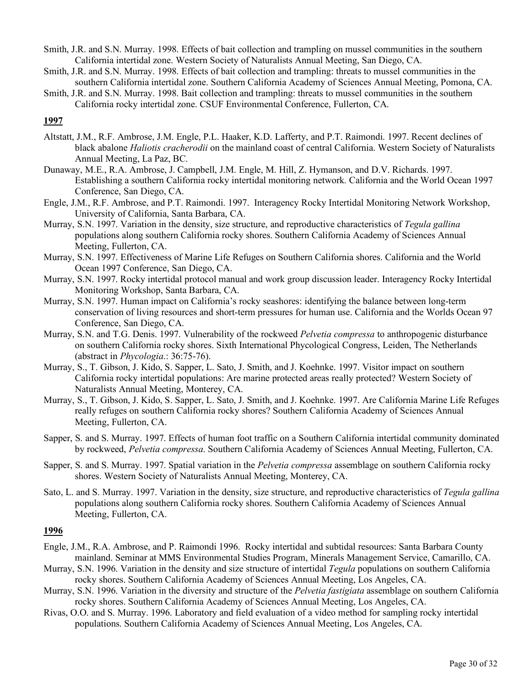- Smith, J.R. and S.N. Murray. 1998. Effects of bait collection and trampling on mussel communities in the southern California intertidal zone. Western Society of Naturalists Annual Meeting, San Diego, CA.
- Smith, J.R. and S.N. Murray. 1998. Effects of bait collection and trampling: threats to mussel communities in the southern California intertidal zone. Southern California Academy of Sciences Annual Meeting, Pomona, CA.
- Smith, J.R. and S.N. Murray. 1998. Bait collection and trampling: threats to mussel communities in the southern California rocky intertidal zone. CSUF Environmental Conference, Fullerton, CA.

- Altstatt, J.M., R.F. Ambrose, J.M. Engle, P.L. Haaker, K.D. Lafferty, and P.T. Raimondi. 1997. Recent declines of black abalone *Haliotis cracherodii* on the mainland coast of central California. Western Society of Naturalists Annual Meeting, La Paz, BC.
- Dunaway, M.E., R.A. Ambrose, J. Campbell, J.M. Engle, M. Hill, Z. Hymanson, and D.V. Richards. 1997. Establishing a southern California rocky intertidal monitoring network*.* California and the World Ocean 1997 Conference, San Diego, CA.
- Engle, J.M., R.F. Ambrose, and P.T. Raimondi. 1997. Interagency Rocky Intertidal Monitoring Network Workshop, University of California, Santa Barbara, CA.
- Murray, S.N. 1997. Variation in the density, size structure, and reproductive characteristics of *Tegula gallina* populations along southern California rocky shores. Southern California Academy of Sciences Annual Meeting, Fullerton, CA.
- Murray, S.N. 1997. Effectiveness of Marine Life Refuges on Southern California shores. California and the World Ocean 1997 Conference, San Diego, CA.
- Murray, S.N. 1997. Rocky intertidal protocol manual and work group discussion leader. Interagency Rocky Intertidal Monitoring Workshop, Santa Barbara, CA.
- Murray, S.N. 1997. Human impact on California's rocky seashores: identifying the balance between long-term conservation of living resources and short-term pressures for human use. California and the Worlds Ocean 97 Conference, San Diego, CA.
- Murray, S.N. and T.G. Denis. 1997. Vulnerability of the rockweed *Pelvetia compressa* to anthropogenic disturbance on southern California rocky shores. Sixth International Phycological Congress, Leiden, The Netherlands (abstract in *Phycologia*.: 36:75-76).
- Murray, S., T. Gibson, J. Kido, S. Sapper, L. Sato, J. Smith, and J. Koehnke. 1997. Visitor impact on southern California rocky intertidal populations: Are marine protected areas really protected? Western Society of Naturalists Annual Meeting, Monterey, CA.
- Murray, S., T. Gibson, J. Kido, S. Sapper, L. Sato, J. Smith, and J. Koehnke. 1997. Are California Marine Life Refuges really refuges on southern California rocky shores? Southern California Academy of Sciences Annual Meeting, Fullerton, CA.
- Sapper, S. and S. Murray. 1997. Effects of human foot traffic on a Southern California intertidal community dominated by rockweed, *Pelvetia compressa*. Southern California Academy of Sciences Annual Meeting, Fullerton, CA.
- Sapper, S. and S. Murray. 1997. Spatial variation in the *Pelvetia compressa* assemblage on southern California rocky shores. Western Society of Naturalists Annual Meeting, Monterey, CA.
- Sato, L. and S. Murray. 1997. Variation in the density, size structure, and reproductive characteristics of *Tegula gallina* populations along southern California rocky shores. Southern California Academy of Sciences Annual Meeting, Fullerton, CA.

- Engle, J.M., R.A. Ambrose, and P. Raimondi 1996. Rocky intertidal and subtidal resources: Santa Barbara County mainland. Seminar at MMS Environmental Studies Program, Minerals Management Service, Camarillo, CA.
- Murray, S.N. 1996. Variation in the density and size structure of intertidal *Tegula* populations on southern California rocky shores. Southern California Academy of Sciences Annual Meeting, Los Angeles, CA.
- Murray, S.N. 1996. Variation in the diversity and structure of the *Pelvetia fastigiata* assemblage on southern California rocky shores. Southern California Academy of Sciences Annual Meeting, Los Angeles, CA.
- Rivas, O.O. and S. Murray. 1996. Laboratory and field evaluation of a video method for sampling rocky intertidal populations. Southern California Academy of Sciences Annual Meeting, Los Angeles, CA.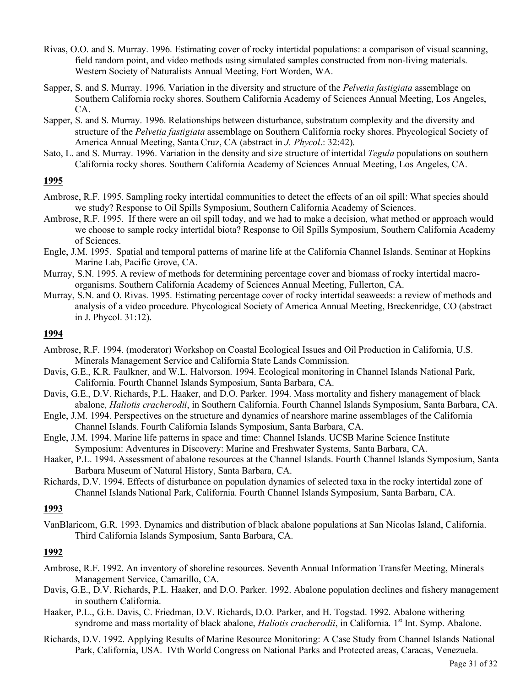- Rivas, O.O. and S. Murray. 1996. Estimating cover of rocky intertidal populations: a comparison of visual scanning, field random point, and video methods using simulated samples constructed from non-living materials. Western Society of Naturalists Annual Meeting, Fort Worden, WA.
- Sapper, S. and S. Murray. 1996. Variation in the diversity and structure of the *Pelvetia fastigiata* assemblage on Southern California rocky shores. Southern California Academy of Sciences Annual Meeting, Los Angeles, CA.
- Sapper, S. and S. Murray. 1996. Relationships between disturbance, substratum complexity and the diversity and structure of the *Pelvetia fastigiata* assemblage on Southern California rocky shores. Phycological Society of America Annual Meeting, Santa Cruz, CA (abstract in *J. Phycol*.: 32:42).
- Sato, L. and S. Murray. 1996. Variation in the density and size structure of intertidal *Tegula* populations on southern California rocky shores. Southern California Academy of Sciences Annual Meeting, Los Angeles, CA.

- Ambrose, R.F. 1995. Sampling rocky intertidal communities to detect the effects of an oil spill: What species should we study? Response to Oil Spills Symposium, Southern California Academy of Sciences.
- Ambrose, R.F. 1995. If there were an oil spill today, and we had to make a decision, what method or approach would we choose to sample rocky intertidal biota? Response to Oil Spills Symposium, Southern California Academy of Sciences.
- Engle, J.M. 1995. Spatial and temporal patterns of marine life at the California Channel Islands. Seminar at Hopkins Marine Lab, Pacific Grove, CA.
- Murray, S.N. 1995. A review of methods for determining percentage cover and biomass of rocky intertidal macroorganisms. Southern California Academy of Sciences Annual Meeting, Fullerton, CA.
- Murray, S.N. and O. Rivas. 1995. Estimating percentage cover of rocky intertidal seaweeds: a review of methods and analysis of a video procedure. Phycological Society of America Annual Meeting, Breckenridge, CO (abstract in J. Phycol. 31:12).

# **1994**

- Ambrose, R.F. 1994. (moderator) Workshop on Coastal Ecological Issues and Oil Production in California, U.S. Minerals Management Service and California State Lands Commission.
- Davis, G.E., K.R. Faulkner, and W.L. Halvorson. 1994. Ecological monitoring in Channel Islands National Park, California. Fourth Channel Islands Symposium, Santa Barbara, CA.
- Davis, G.E., D.V. Richards, P.L. Haaker, and D.O. Parker. 1994. Mass mortality and fishery management of black abalone, *Haliotis cracherodii*, in Southern California. Fourth Channel Islands Symposium, Santa Barbara, CA.
- Engle, J.M. 1994. Perspectives on the structure and dynamics of nearshore marine assemblages of the California Channel Islands. Fourth California Islands Symposium, Santa Barbara, CA.
- Engle, J.M. 1994. Marine life patterns in space and time: Channel Islands. UCSB Marine Science Institute Symposium: Adventures in Discovery: Marine and Freshwater Systems, Santa Barbara, CA.
- Haaker, P.L. 1994. Assessment of abalone resources at the Channel Islands. Fourth Channel Islands Symposium, Santa Barbara Museum of Natural History, Santa Barbara, CA.
- Richards, D.V. 1994. Effects of disturbance on population dynamics of selected taxa in the rocky intertidal zone of Channel Islands National Park, California. Fourth Channel Islands Symposium, Santa Barbara, CA.

# **1993**

VanBlaricom, G.R. 1993. Dynamics and distribution of black abalone populations at San Nicolas Island, California. Third California Islands Symposium, Santa Barbara, CA.

- Ambrose, R.F. 1992. An inventory of shoreline resources. Seventh Annual Information Transfer Meeting, Minerals Management Service, Camarillo, CA.
- Davis, G.E., D.V. Richards, P.L. Haaker, and D.O. Parker. 1992. Abalone population declines and fishery management in southern California.
- Haaker, P.L., G.E. Davis, C. Friedman, D.V. Richards, D.O. Parker, and H. Togstad. 1992. Abalone withering syndrome and mass mortality of black abalone, *Haliotis cracherodii*, in California. 1<sup>st</sup> Int. Symp. Abalone.
- Richards, D.V. 1992. Applying Results of Marine Resource Monitoring: A Case Study from Channel Islands National Park, California, USA. IVth World Congress on National Parks and Protected areas, Caracas, Venezuela.